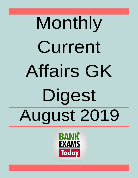# Monthly Current **Affairs GK** Digest August 2019

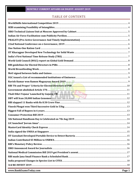# TABLE OF CONTENTS

| RBI 'Fit and Proper' Criteria for Elected Directors of PSB |  |
|------------------------------------------------------------|--|
|                                                            |  |
|                                                            |  |
| DBT will Scan 20,000 Indian Genomes                        |  |
|                                                            |  |
|                                                            |  |
|                                                            |  |
|                                                            |  |
|                                                            |  |
|                                                            |  |
|                                                            |  |
|                                                            |  |
|                                                            |  |
|                                                            |  |
|                                                            |  |
|                                                            |  |
|                                                            |  |
|                                                            |  |
|                                                            |  |
|                                                            |  |
|                                                            |  |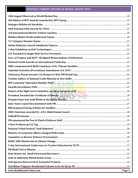| www.BankExamsToday.com | Page 2 |
|------------------------|--------|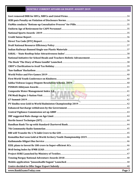| www.BankExamsToday.com | Page 3 |
|------------------------|--------|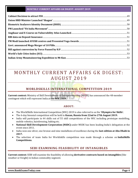# MONTHLY CURRENT AFFAIRS GK DIGEST: A U G U S T 2 0 1 9

# **WORLDSKILLS INTERNATIONAL COMPETITION 2019**

<span id="page-4-0"></span>**Current context:** Ministry of Skill Development & Entrepreneurship (MSDE) has announced the 48-member contingent which will represent India at the **WIC 2019.**

## **ABOUT:**

- The WorldSkills International Competition (WIC) 2019 is also referred to as the **'Olympics for Skills'.**
- The 6-day biennial competition will be held in **Kazan, Russia from 22nd to 27th August 2019.**
- India will participate in 44 skills out of 55 skill competitions of the WIC including prototype modelling, mobile robotics, hairdressing, baking etc.
- **National Skill Development Corporation (NSDC)** under MSDE has been leading India's delegation at the event since 2011.
- India won one silver, one bronze and nine medallions of excellence during the **last edition at Abu Dhabi in 2017.**
- <span id="page-4-1"></span> The selection of team India for Worldskills competition was made through a scheme on **IndiaSkills Competitions.**

## **SEBI EXAMINING FEASIBILITY OF INTANGIBLES**

**Current context:** SEBI will examine the feasibility of allowing **derivative contracts based on intangibles** (like weather or freight) in Indian commodity segment.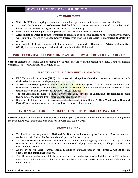## **KEY HIGHLIGHTS:**

- With this, SEBI is attempting to make the commodity segment more efficient and investor-friendly.
- SEBI will also look into an **exchange-traded fund** (ETF is market security that tracks an index, bond, basket of assets or commodity, In this case, ETF is a commodity).
- It will increase the **hedger's participation** and increase delivery based settlement.
- A **five-member working group** constituted to look at a specific issue related to the commodity segment, will submit a report to the **Commodity Derivatives Market Regulatory Department (CDMRD)** by August.
- After which SEBI will forward selected proposal to **Commodity Derivatives Advisory Committee (CDAC)** for final screening after which it will be submitted to SEBI board.

# <span id="page-5-0"></span>**ISRO TECHNICAL LIAISON UNIT AT MOSCOW APPROVED BY CABINET**

**Current context:** The Union Cabinet chaired by PM Modi has approved the setting up of ISRO Technical Liaison Unit (ITLU) at Moscow, Russia on 31st July 2018.

## **ISRO TECHNICAL LIAISON UNIT AT MOSCOW:**

- ISRO Technical Liaison Units (ITLU) is instituted with **the prime objective** to enhance coordination with the Russian Government and space agency.
- **An ISRO Scientist/Engineer** would be designated as "Counsellor (Space)" at the ITLU Moscow office and the **Liaison Officer** will provide the technical information about the developments in research and technology to Indian Government, Industries, researchers etc.
- The collaboration is made keeping in view the 2022 timeline of **Gaganyaan programme**, to avail technological cooperation from International space agencies.
- <span id="page-5-1"></span> Department of Space has earlier instituted ISRO Technical Liaison Units (ITLU) at **Washington, USA and Paris, France** for increasing international level technical collaboration.

# **INDIAN AIR FORCE FACILITATION-CUM-PUBLICITY PAVILION**

**Current context:** Union Human Resource Development (HRD) Minister Ramesh Pokhriyal Nishank inaugurated the Indian Air Force Facilitation-cum-Publicity Pavilion on 31st July 2019.

## **ABOUT PAVILION:**

- The Pavilion was inaugurated at **National Bal Bhawan** and was set up **by Indian Air Force** to motivate students **to join Indian Air Force** and develop a love for the country.
- The **"Facilitation-cum-Publicity Pavilion"** is a unique technologically advanced set up broadly comprising of a self-interactive career information Kiosk, Flying Simulator and, a selfie point with a fore drop of points in G suit.
- At the event, Air Chief Marshal Shri **B. S. Dhanoa** launched **"Indian Air Force: A Cut Above"** an official **mobile gaming application.**
- The 3D gaming application will feature various airstrikes and operations Undertaken by the IAF, including augmented reality features, offline single-player missions, a career navigator information section and an online multiplayer.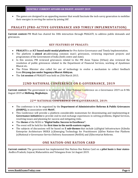The games are designed in an appealing manner that would fascinate the tech-savvy generation to mobilise their energies in serving the nation by joining IAF.

# <span id="page-6-0"></span>**PRAGATI (PRO-ACTIVE GOVERNANCE AND TIMELY IMPLEMENTATION)**

**Current context:** PM Modi has chaired his 30th interaction through PRAGATI, to address public demands and grievances.

## **KEY FEATURES OF PRAGATI:**

- **PRAGATI** is an **ICT based multi-modal platform** for Pro-Active Governance and Timely Implementation.
- The platform is **aimed at** addressing common man's grievances, reviewing important projects and programmes of the Government of India (both centre and state).
- In this session, PM reviewed grievances related to the PM Awas Yojana (Urban) also reviewed the resolution of public grievances related to the Department of Financial Services, working of Ayushman Bharat etc.
- The Prime Minister also called for use of technology to evolve a mechanism to collect feedback from **Divyang-Jan under Sugamya Bharat Abhiyan.**
- <span id="page-6-1"></span>The **1st session** of PRAGATI was held on 25th March 2015.

# **22ND NATIONAL CONFERENCE ON E-GOVERNANCE, 2019**

**Current context:** The government is to organize the 22nd National Conference on e-Governance 2019 on 8-9th August 2019 at **Shillong, Meghalaya.**

## **22ND NATIONAL CONFERENCE ON E-GOVERNANCE, 2019:**

- The conference is to be organized by the **Department of Administrative Reforms & Public Grievances (DARPG),** in association with **MeitY.**
- This Conference will provide a platform considerable momentum for disseminating and implementing **e-Governance initiatives** to provide end-to-end exchange experiences in solving problems, Digital Services, resolving issues and planning for success and mitigating risks.
- The **theme** of the NCEG is **"Digital India: Success to Excellence".**
- The event will be held for the **first time in the north-eastern region.**
- <span id="page-6-2"></span> The subjects of discussions will be based on **5 sub-themes** that include (a)Digital Infrastructure (b)India Enterprise Architecture INDEA (c)Emerging Technology for Practitioners (d)One Nation–One Platform (e)National e-Governance Service Delivery Assessment (NeSDA) and (f)Secretariat Reforms.

# **ONE NATION-ONE RATION CARD**

**Current context:** The government has implemented One Nation-One Ration Card on a **pilot basis** in **four states-**Andhra Pradesh, Gujarat, Maharashtra and Telangana from 1st August 2019.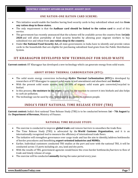#### **ONE NATION-ONE RATION CARD SCHEME:**

- This initiative would enable the families having food security cards to buy subsidized wheat and rice **from any ration shop in these states.**
- The only requirement is that the **Aadhaar card should be linked to the ration card** to avail of this service.
- The government has recently announced that the scheme will be available across the country from **1st July 2020** and will allow portability of food security benefits by allowing poor migrant workers to buy subsidised rice and wheat from **any ration shop in the country.**
- Under **the National Food Security Act,** all state governments in India have to identify and provide ration cards to the households that are eligible for purchasing subsidized food grain from the Public Distribution System.

# <span id="page-7-0"></span>**IIT KHARAGPUR DEVELOPED NEW TECHNOLOGY FOR SOLID WASTE**

**Current context:** IIT Kharagpur has developed a new technology which can generate energy from solid waste.

## **ABOUT HYDRO THERMAL CARBONIZATION (HTC):**

- The solid waste energy conversion technology-**Hydro Thermal Carbonization (HTC)** is developed by researchers of IIT Kharagpur to convert solid waste to soil amendment and absorbent and **biofuel.**
- With the present solid waste system, only 20-30% of organic solid waste gets converted/recycled to biofuel.
- In this process, **the moisture in the waste** is used for the reaction to convert it into biofuels and also helps to curb air pollution.
- <span id="page-7-1"></span>The technology can be used by civic bodies and is accessible to common people.

# **INDIA'S FIRST NATIONAL TIME RELEASE STUDY (TRS)**

**Current context:** India's first national Time Release Study (TRS) is to be conducted between **1st – 7th August** by the **Department of Revenue,** Ministry of Finance.

## **NATIONAL TIME RELEASE STUDY:**

- The exercise is conducted to improve **global trade** and remove barriers to smoothen the trade flow.
- The Time Release Study (TRS) is advocated by the **World Customs Organization,** and it is an internationally recognized tool to measure the efficiency of international trade flows.
- The initiative will strengthen governance over cargo trade and has the aim to identify/address bottlenecks of border procedures and benefitting **export-oriented industries and MSMEs.**
- Earlier, Individual customers conducted TRS studies at the port and now with the national TRS, it will be conducted across 15 ports including air, sea, land and dry ports.
- With the results of TRS, government agencies would know the cross border bottlenecks/barriers to flow of trade and timely release of cargo.
- The exercise will be conducted **annually** during the same period every year.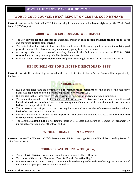# <span id="page-8-0"></span>**WORLD GOLD COUNCIL (WGC) REPORT ON GLOBAL GOLD DEMAND**

**Current context:** In the first half of 2019, the global gold demand touched a **3-year high,** as per the World Gold Council (WGC) report.

## **ABOUT WORLD GOLD COUNCIL (WGC) REPORT:**

- The **key drivers for the increase** are sustained growth in **gold-backed exchange-traded funds** (ETFs) and continued **central bank buying.**
- The main factors for driving inflows in holding gold-backed ETFs are geopolitical instability, rallying gold prices in June and dovish commentary on monetary policy from central banks.
- According to the report, the overall jewellery demand in the 2nd quarter is pushed by **12% to 168.8 tonnes** due to a strong recovery in India's jewellery market.
- <span id="page-8-1"></span>Gold has touched **multi-year high in terms of price,** breaching \$1400/oz for the 1st time since 2013.

# **RBI GUIDELINES FOR ELECTED DIRECTORS IN PSBS**

**Current context:** RBI has issued guidelines that the elected directors in Public Sector Banks will be appointed by the board.

# **KEY HIGHLIGHTS:**

- RBI has mandated that the **nomination and remuneration committee** of the board of the respective banks will appoint the elected directors of public sector banks (PSBs).
- RBI has said that all these banks have to constitute a nomination and remuneration committee.
- The committee would consist of a minimum of **3 non-executive directors** from the board, and it should include **at least one member** from the risk management committee of the board and **not less than onehalf** will be independent directors.
- The non-executive chairperson of the bank may be appointed as a member of the committee but shall not be the chairman of such a committee.
- RBI said that an elected director can be **appointed for 3 years** and could be re-elected but he **cannot hold office for more than 6 years.**
- <span id="page-8-2"></span> The candidate **should not be holding** the position of a State Legislature or Member of Parliament or municipal corporation or of other local bodies.

# **WORLD BREASTFEEDING WEEK**

**Current context:** The Women and Child Development Ministry are organizing the World Breastfeeding Week till 7th of August 2019.

## **WORLD BREASTFEEDING WEEK (WBW):**

- The week **will focus on** protection, promotion, and support of breastfeeding
- The **theme** of the event is **"Empower Parents, Enable Breastfeeding".**
- It **aims** to create awareness among parents about breastfeeding, exclusive breastfeeding, the importance of initiation and appropriate complementary feeding.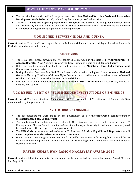- The nutrition intervention will aid the government to achieve **National Nutrition Goals and Sustainable Development Goals 2030** and help in breaking the vicious cycle of malnutrition.
- <span id="page-9-0"></span> The WCD Ministry will organize **programmes throughout the week** at the **village level** through dance and drama skits, films and rallies to generate awareness on the importance of healthy eating, maintenance of sanitation and hygiene for pregnant and lactating mothers.

# **MOU SIGNED BETWEEN INDIA AND GUINEA**

**Current context:** Three MoUs were signed between India and Guinea on the second day of President Ram Nath Kovind's three-day visit to the country.

## **ABOUT MOU:**

- The MoUs have signed between the two countries Cooperation in the Field of **e- Vidhyabharati - e-Aarogya Bharati** e-VBAB Network Project, Traditional System of Medicine and Renewal Energy.
- Both the countries agreed to hold the first session of the **Ministerial level India-Guinea Joint Commission** at an early date.
- During the visit, President Ram Nath Kovind was conferred with the **highest State honour of National Order of Merit** by President of Guinea Alpha Conde for his contribution to the advancement of overall relations and mutual cooperation between India and Guinea.
- President Mr Kovind announced **a new Line of Credit of US\$ 170 million** for Water Supply Project of Conakry city, Guinea.

# <span id="page-9-1"></span>**UGC ISSUED A LIST OF RECOMMENDED INSTITUTIONS OF EMINENCE**

**Current context:** The University Grants Commission (UGC) has issued a list of 20 Institutions of Eminence (IoE) as recommended by the government.

## **INSTITUTIONS OF EMINENCE:**

- The recommendations were made by the government as per the **empowered committee** under the **chairmanship of N Gopalaswami.**
- The institutions from public category include BHU, Hyderabad University, Delhi University, and IIT Kharagpur and Madras. Anna University in Chennai and Jadavpur University in Kolkata has been subjected to consultation with the respective state governments.
- The **HRD Ministry** has announced a scheme in 2018 to select **20 IoEs - 10 public and 10 private** that will enjoy **complete administrative and academic autonomy.**
- <span id="page-9-2"></span> Under the initiative, the government will fund the public institutions with IoE tag but there will be no financial support for private institutions with IoE, but they will get more autonomy as a special category Deemed University.

## **RAVISH KUMAR WON RAMON MAGSAYSAY AWARD 2019**

**Current context:** Television Journalist Ravish Kumar has been awarded the Ramon Magsaysay Award 2019 on 2nd August 2019.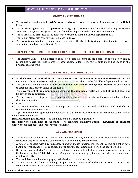## **ABOUT RAVISH KUMAR:**

- The award is considered to be **Asia's premier prize** and is referred to as the **Asian version of the Nobel Prize.**
- The award was given to other **4 persons** including Angkhana Neelapaijit from Thailand, Kim Jong Ki from South Korea, Raymundo Pujante Cayabyab from the Philippines and Ko Swe Win from Myanmar.
- The award will be presented to the holders at a ceremony in Manila on **9th September** 2019
- The Ramon Magsaysay Award was established in **1957.**
- <span id="page-10-0"></span> The award is named after the memory and leadership of the **third Philippine president** and is given every year to individuals/organizations in Asia.

# **RBI 'FIT AND PROPER' CRITERIA FOR ELECTED DIRECTORS OF PSB**

 The Reserve Bank of India tightened rules for elected directors on the boards of public sector banks, responding to criticism that boards of these lenders failed to prevent a build-up of bad loans in the previous lending cycle.

## **PROCESS OF ELECTING DIRECTORS**

- **All the banks are required to constitute a Nomination and Remuneration Committee** consisting of a minimum of three non-executive directors, of which not less than one-half shall be independent directors.
- The committee should include **at least one member from the risk-management committee** of the board to establish 'fit & proper' status of applicants.
- The **Government of India nominee director and the nominee director on behalf of the RBI shall not be part of the committee.**
- The non-executive chairperson of the bank may be appointed as a member of the committee but shall not chair the committee.
- Criteria
- The Committee shall determine the 'fit and proper' status of the proposed candidates based on the broad criteria mentioned hereunder:

**(i) Age –** The candidate's age should be between **35 to 67 years** as on the cut-off date fixed for submission of nominations for election.

**(ii) Educational qualification –** The candidate should at least be a **graduate.**

**(iii) Experience and field of expertise –** The candidate shall **have special knowledge or practical experience** in respect of one or more part of banking.

## **DISQUALIFICATIONS:**

- The candidate should not be a member of the Board of any bank or the Reserve Bank or a Financial Institution (FI) or an Insurance Company or a NOFHC holding any other bank.
- A person connected with hire purchase, financing, money lending, investment, leasing and other para banking activities shall not be considered for appointment as elected director on the board of a PSB.
- No person may be elected/ re-elected on the Board of a bank if he/she has served as director in the past on the board of any bank/FI/RBI/Insurance Company under any category for six years, whether continuously or intermittently.
- The candidate should not be engaging in the business of stock broking.
- The candidate should not be holding the position of a Member of Parliament or State Legislature or Municipal Corporation or Municipality or other local bodies.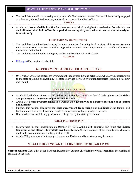The candidate should not be acting as a partner of a Chartered Accountant firm which is currently engaged as a Statutory Central Auditor of any nationalised bank or State Bank of India.

#### **TENURE**

 An elected director **shall hold office for three years** and shall be eligible for re-election: Provided that **no such director shall hold office for a period exceeding six years, whether served continuously or intermittently.**

#### **PROFESSIONAL RESTRICTIONS –**

- 1. The candidate should neither have any business connection (including legal services, advisory services etc.) with the concerned bank nor should be engaged in activities which might result in a conflict of business interests with that bank.
- 2. The candidate should not be having any professional relationship with a bank.

#### **SOURCES**

<span id="page-11-0"></span>[RBI.org.in](https://www.rbi.org.in/Scripts/NotificationUser.aspx?Id=11649&Mode=0) (Full master circular link)

## **GOVERNMENT ABOLISHED ARTICLE 370**

 On 5 August 2019, the central government abolished article 370 and article 35A which gives special status to the state of Jammu and Kashmir. The state is divided between two union territories - Jammu & Kashmir and Ladakh.

# **WHAT IS ARTICLE 35A?**

- Article 35A, which was incorporated in the Constitution by a 1954 Presidential Order, **gives special rights and privileges to the citizens of Jammu and Kashmir.**
- Article 35A **denies property rights to a woman who got married to a person residing out of Jammu and Kashmir.**
- Further, this section **disallows the state government from hiring non-residents** of the Jammu and Kashmir state. It also disallows non-residents to own immovable property in the state.
- Non-resident can not join any professional college run by the state government

## **WHAT IS ARTICLE 370?**

- Incorporated in the Constitution on October 17, 1949, **Article 370 exempts J&K from the Indian Constitution and allows it to draft its own Constitution.** All the provisions of the Constitution which are applicable to other states are not applicable to J-K.
- <span id="page-11-1"></span>Article 370 grants special autonomy to Jammu and Kashmir and is also temporary in nature.

# **VHALI DIKRI YOJANA' LAUNCHED BY GUJARAT CM**

**Current context:** 'Vhali Dikri Yojna' has been launched by **Gujarat Chief Minister Vijay Rupani** for the welfare of girl child in the state.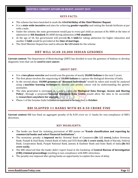## **KEYS FACTS:**

- The scheme has been launched to mark the **63rd birthday of the Chief Minister Rupani.**
- It is a **state-wide incentive** and aims for achieving **gender equality** and raising the female birthrate at par with a male.
- Under the scheme, the state government would pay to every girl child an amount of Rs 4000 at the time of admission to **4th Standard**, Rs 6000 during admission in**9th standard.**
- At the age of 18, the government will provide **Rs 1 lakh** for taking admission for higher education and another **1 lakh** would be provided at the **time of marriage.**
- <span id="page-12-0"></span>The Chief Minister Rupani has said to allocate **Rs 133 crore** for the scheme.

# **DBT WILL SCAN 20,000 INDIAN GENOMES**

**Current context:** The Department of Biotechnology (DBT) has decided to scan the genomes of Indians to develop diagnostic tests that can be **used to cure cancer.**

## **ABOUT DBT:**

- It is a **two-phase exercise** and would scan the genome of nearly **20,000 Indians** in the next 5 years.
- The first phase involves the sequencing of **10,000 Indians** to capture the biological diversity of India.
- In the second phase, **10,000 genomes of "diseased individuals"** would be taken and would be analysed using a **machine learning technique** to identify and predict cancer risk by understanding the genetic anomalies.
- The data generated is envisaged in a policy called the **'Biological Data Storage, Access and Sharing Policy',** through a proposed **National Biological Data Centre** would allow the data to be accessible to **researchers anywhere for analysis.**
- <span id="page-12-1"></span>Phase-1 of the Genome India Initiative is expected to be launched in **October.**

# **RBI SLAPPED 11 BANKS WITH RS 8.50 CRORE FINE**

**Current context:** RBI has fined an aggregate penalty of Rs 8.50 crore on 11 banks for non-compliance of RBI's directions.

- The banks are fined for violating provisions of RBI norms on **"frauds classification and reporting by commercial banks and select Financial Institutions".**
- The monetary penalty is **imposed on** the Oriental Bank of Commerce **(Rs 1.5 crore),** Indian Overseas Bank, Punjab & Sind Bank, United Bank of India and UCO Bank **(Rs 1 crore each),** Bank of Baroda, Federal Bank, Corporation Bank, Punjab National Bank, Jammu & Kashmir Bank and State Bank of India **(Rs 0.5 crore each).**
- The RBI observed that the banks didn't report fraud in the backdrop of **Central Bureau of Investigation (CBI) criminal proceedings** resulting in non-compliance with RBI's directions.
- The penalty was imposed after giving banks an opportunity to explain the cause of delay.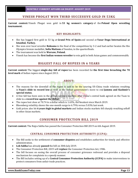## **VINESH PHOGAT WON THIRD SUCCESSIVE GOLD IN 53KG**

<span id="page-13-0"></span>**Current context:** Vinesh Phogat won gold in **53 kg women's category** of the **Poland Open wrestling tournament.**

## **KEY HIGHLIGHTS:**

- She has bagged first gold in 53 kg at **Grand Prix of Spain** and second at **Yasar Dogu International at Istanbul, Turkey.**
- She won over local wrestler **Roksana** in the final of the competition by 3-2 and had earlier beaten the Rio Olympics bronze medallist, **Sofia Mattson** of Sweden, in the quarterfinals.
- The tournament was held in **Warsaw, Poland.**
- <span id="page-13-1"></span>Vinesh has become the **first Indian women wrestler** to win gold in both Asian games and commonwealth.

# **BIGGEST FALL OF RUPEES IN 6 YEARS**

**Current context:** The biggest **single-day fall of rupee** has been recorded for **the first time breaching the 70 level mark** of Indian rupees since August 2013.

## **ABOUT:**

- The reasons for the downfall of the rupee is said to be the souring US-China trade relations resulting in **Yuan's slide to record low** as well as the Indian government's move to end **Jammu and Kashmir's special status.**
- A free fall has been seen in the global currency markets after China's central bank agreed on the Yuan to slide to a **record low against the dollar.**
- The rupee lost close at 70.74 to a dollar which is 1.63%, the weakest since March 2019.
- Bloomberg volatility shows the one-month surge to 6.79% versus 5.03% last week.
- <span id="page-13-2"></span> Gold prices also hit **6 years high in global markets** and Indian stocks markets fell sharply resulting selloff in other Asian markets.

# **CONSUMER PROTECTION BILL 2019**

**Current context:** The Rajya Sabha has passed the Consumer Protection Bill 2019 on 6th August 2019.

## **CENTRAL CONSUMER PROTECTION AUTHORITY (CCPA):**

- The Bill seeks to the settlement of **consumer disputes** and establishes authorities for timely and effective administration.
- **Lok Sabha** has already **passed** the bill on 30th July 2019.
- The Consumer Protection Bill, 2019 will **replace** the Consumer Protection Act, 1986.
- The bill focuses on easing the overall process of consumer grievance redressal and provides a disposal mechanism for complaints in a speedy manner.
- The Bill includes setting up of a **Central Consumer Protection Authority (CCPA)** to make interventions to protect consumers from unfair trade practices.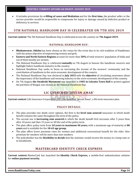It includes provisions for **e-filling of cases and Mediation** and for the **first time,** the product seller or the service provider would be responsible to compensate for injury or damage caused by defective product or deficiency in services.

# <span id="page-14-0"></span>**5TH NATIONAL HANDLOOM DAY IS CELEBRATED ON 7TH AUG 2019**

**Current context:** The 5th National Handloom Day is celebrated across the country on **7th August 2019.**

## **NATIONAL HANDLOOM DAY:**

- **Bhubaneswar, Odisha** has been chosen as the venue for the event due to its rich tradition of Handlooms with the prime objective of empowering women and girls.
- **Eastern and North Eastern Regions** account for more than **50%** of total weavers' population of India and out of them mostly are women.
- The National Handloom Day is celebrated **annually** on 7th August to honour the handloom weavers and highlight India's handloom industry in the country.
- National Handloom Day seeks to focus on increasing the income of the weavers' community and the contribution of handloom to the socio-economic development of the country.
- The National Handloom Day was declared in **July 2015** with the **objective** of circulating awareness about the importance of the handloom and weaving industry to the socio-economic development of the country.
- <span id="page-14-1"></span> On 7th August, **the Swadeshi Movement** was launched in **1905 in Calcutta Town Hall** to protest against the partition of Bengal, was chosen as the National Handloom Day.

# **LIC LAUNCHED 'JEEVAN AMAR'**

**Current context:** Life Insurance Corporation (LIC) has launched 'Jeevan Amar', a life term insurance plan.

## **POLICY DETAILS:**

- The plan provides two death cover options, the first is the **level sum assured** insurance in which death benefit remains the same throughout the term of the policy.
- The second one is **increasing sum assured** in which the death benefit first increases after 5 years than after 10 years and then 15 years or till the end of the policy term.
- The plan offers policy term from **10 years to maximum 40 years,** with a maximum age of maturity at **80 years** and is available for the **18-65 age group.**
- The plan offers lower premium rates for women and additional concessional benefit for the rider. Also premium for smokers will be more than non-smokers.
- <span id="page-14-2"></span> The policyholder has the **flexibility to decide** that the nominee would receive the money in a lump sum or in instalments.

# **MASTERCARD IDENTITY CHECK EXPRESS**

**Current context:** MasterCard has launched the **Identity Check Express,** a mobile-first authentication solution for **online payment security.**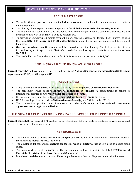#### **ABOUT MASTERCARD:**

- The authentication process is launched for **Indian consumers** to eliminate friction and enhance security in online payments.
- The Identity Check Express was first displayed at the **Global MasterCard Cybersecurity Summit.**
- The initiative has been taken as it was found that about **20%** of mobile e-commerce transactions are abandoned mid-way, in an analysis done by MasterCard.
- To provide an uninterrupted mobile payment experience, the MasterCard Identity Check Express includes the latest **EMV 3-D Secure and FIDO authentication** standards, device intelligence, and behavioural biometrics.
- **Onetime merchant-specific consent** will be shared under the Identity Check Express, to offer a frictionless payment experience to MasterCard cardholders at leading merchants for an amount **less than Rs 2,000.**
- <span id="page-15-0"></span>The cardholders will be authenticated with a **PIN** for transactions greater than **Rs 2,000.**

# **INDIA SIGNED THE UNISA AT SINGAPORE**

**Current context:** The Government of India signed the **United Nations Convention on International Settlement Agreements** (UNISA) on 7th August 2019.

## **ABOUT UNISA:**

- Along with India, 46 countries also signed the treaty called **Singapore Convention on Mediation.**
- The agreement would boost the **investor's confidence in India** for its commitment to adhere to international practice on **Alternative Dispute Resolution (ADR).**
- It is a step forward to further enhance the **ease of doing business ranking** in India.
- UNISA was adopted by the **United Nations General Assembly** on 20th December **2018.**
- The convention provides the framework for the enforcement of **international settlement agreements** resulting from **mediation.**

## <span id="page-15-1"></span>**IIT GUWAHATI DEVELOPED PORTABLE DEVICE TO DETECT BACTERIA**

**Current context:** Researchers at IIT Guwahati has developed a portable device to detect bacteria without any need of cell culture or microbiological assays.

- The step is taken to **detect and micro analyse bacteria** as bacterial infection is a common cause of morbidity and mortality across the world.
- The developed kit can analyse **charges on the cell walls of bacteria,** just as it is used to detect blood sugar.
- The team work has got the **patent** for the development and was issued in the July 2019 **'Journal of Materials Chemistry of the Royal Society of Chemistry'.**
- It is a **hand held device** and consists of bio-compatible sensor that can diagnose time-critical illnesses.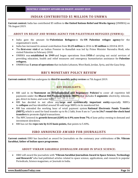## **INDIAN CONTRIBUTED \$5 MILLION TO UNRWA**

<span id="page-16-0"></span>**Current context:** India has contributed \$5 million to **the United Nations Relief and Works Agency** (UNRWA) on 7th August 2019.

## **ABOUT UN RELIEF AND WORKS AGENCY FOR PALESTINIAN REFUGEES (UNRWA):**

- India gave the amount for **Palestinian Refugees** to the **UN Palestine refugee agency** for the organisation's work.
- India has increased its annual contribution from **\$1.25 million** in 2016 to **\$5 million** in 2018 & 2019.
- The **first-ever visit** of an Indian Premier to Ramallah was led by Prime Minister Narendra Modi, who visited Palestine in February 2018.
- UNRWA was **established in 1949** and began operations from **1950** of carrying out social services of providing education, health and relief measures and emergency humanitarian assistance for **Palestine refugees.**
- <span id="page-16-1"></span>UNRWA has **5 areas of operations** that includes Lebanon, West Bank, Jordan, Syria, and the Gaza Strip.

## **RBI'S MONETARY POLICY REVIEW**

**Current context:** RBI has undergone its **third bi-monthly policy review** on 7th August 2019.

# **KEY HIGHLIGHTS:**

- RBI said in its **'Statement on Developmental and Regulatory Policies'** to cover all repetitive bill payments under the **Bharat Bill Payment System (BBPS)** that includes **5 segments-** electricity, telecom, gas, direct-to-home, and water bills.
- RBI has decided to not allow any **large and systemically important entity** especially NBFCs to **collapse** and has identified around 50-odd large NBFCs in its monitored list.
- RBI has extended the working hour of retail payment system **National Electronic Funds Transfer (NEFT),** which is used for fund transfer up to Rs 2 lakh, from 8 am to 7 pm **to 24x7 round-the-clock fund transfers** to promote digital transactions.
- The MPC lowered its **growth forecast (GDP) to 6.9% now from 7%** of June policy owning to demand and investment slowdown.
- <span id="page-16-2"></span>RBI has cut the **repo rate by 0.35 basis points,** that points to 5.40%.

# **ISRO ANNOUNCED AWARD FOR JOURNALISTS**

**Current context:** ISRO has launched an award for Journalists on the centenary year celebrations of **Dr. Vikram Sarabhai, father of Indian space programme.**

## **ABOUT VIKRAM SARABHAI JOURNALISM AWARD IN SPACE SCIENCE:**

 ISRO will award the journalists with **"Vikram Sarabhai Journalism Award in Space Science, Technology and Research"** who had published articles related to space science, applications, and research in popular Periodicals, Science magazines, or Journals in India.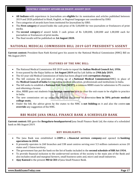- **All Indians** with experience in Journalism are **eligible** for its nomination and articles published between 2019 and 2020 published in Hindi, English, or Regional languages are considered by ISRO.
- Two categories of awards have been instituted for Journalism by ISRO.
- The **First category** of award holds the cash prize of Rs 5,00,000 for two journalists or freelancers of print media.
- The **second category** of award holds 3 cash prizes of Rs 3,00,000, 2,00,000 and 1,00,000 each for journalists or freelancers of print media.
- <span id="page-17-0"></span>The final results will be published on **1st August 2020.**

# **NATIONAL MEDICAL COMMISSION BILL 2019 GOT PRESIDENT'S ASSENT**

**Current context:** President Ram Nath Kovind gave his assent to the National Medical Commission (NMC) Bill on 9th August 2019.

## **FEATURES OF THE NMC BILL:**

- The National Medical Commission Bill 2019 seeks to repeal the **Indian Medical Council Act, 1956.**
- It was passed by the Rajya Sabha on **1st August 2019** and by Lok Sabha on **29th July 2019.**
- The 63-year-old Medical Commission of India has been alleged with **corruption charges.**
- The bill contains the provision of setting up of a **National Medical Commission**(NMC) in place of the **Medical Council of India** for regulating medical education, professionals and institutions in India.
- The bill seeks to establish a **National Exit Test (NEXT),** a common MBBS exam for admission to PG courses and obtaining a license.
- Also, MBBS pass out students from **foreign countries** have to clear the exit exam to be eligible to practice in India.
- The new commission set up under the bill has the power to determine **fees in 50% private medical college seats.**
- <span id="page-17-1"></span> Under the bill, the advice given by the states to the NMC is **not bidding** on it and also the centre **can override** any suggestion of the NMC.

# **RBI MADE JANA SMALL FINANCE BANK A SCHEDULED BANK**

**Current context:** RBI gave the **Bengaluru-headquartered** Jana Small Finance Bank Ltd, the status of a scheduled bank on 8th August 2019.

- The Jana Bank was established in **2009** as a **financial services company** and opened its **banking operations in 2018.**
- It presently operates in 260 branches and 338 asset centres serving over 5.5 million customers across 20 states and 1 Union territory.
- The government has put the bank on the list of banks included in the **second schedule of RBI Act 1934.**
- To provide financial inclusion to the underserved sections of the society is the main aim of the Bank and also includes small and marginal farmers, small business units and, micro and small industries.
- **Ajay Kanwal** is the present **MD & CEO** of Jana Small Finance Bank.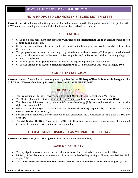# **INDIA PROPOSED CHANGES IN SPECIES LIST IN CITES**

<span id="page-18-0"></span>**Current context:** India has submitted proposals for making changes to the listing of various wildlife species in the CITES secretariat meeting that would be held in **Geneva, Switzerland** next month.

## **ABOUT CITIES:**

- CITES is a global agreement that stands **for Convention on International Trade in Endangered Species of Wild Fauna and Flora.**
- It is an international treaty to ensure that trade in wild animals and plants across the world do not threaten their survival.
- The proposals are focused on boosting the **protection of animals namely** Tokay gecko, small-clawed otter, smooth-coated otter, Indian star tortoise wedge fish and Indian rosewood that are facing a high risk of international trade.
- CITES lists species in **3 appendices** on the level of the degree of protection they require.
- <span id="page-18-1"></span>CITES was drafted in 1963, was **opened for signature in 1973** and entered into force in 1st July **1975.**

# **3RD RE-INVEST 2019**

**Current context:** Curtain Raiser ceremony was organized by the **Ministry of New & Renewable Energy** for the 3rd Edition of **Renewable Energy Investors' Meet and Expo**(RE-INVEST 2019).

## **RE-INVEST 2019:**

- The 3rd edition of RE-INVEST will be held from 30th October to 2nd November 2019 in India.
- The Meet is planned to coincide with the Second Assembly of **International Solar Alliance (ISA).**
- The **objective** of the event is to present India's renewable energy (RE) story to the world and to attract the right investments in RE.
- India has set the target to achieve **175 GW renewable energy capacity by 2022and** has already installed **80 GW as of June 30, 2019.**
- For projects of renewable power distribution and generation, the Government of India allows a **100 per cent FDI.**
- <span id="page-18-2"></span> The **2nd Global RE-INVEST** was held in 2018 with the **aim** of accelerating the connection of the global investment community with Indian energy stakeholders.

# **10TH AUGUST OBSERVED AS WORLD BIOFUEL DAY**

**Current context:** Every year **10th August** is observed as the World Biofuel day.

## **WORLD BIOFUEL DAY:**

- The day signifies to create awareness of using **non-fossil fuels** instead of conventional fossil fuels.
- Ministry of Petroleum & Natural Gas is to observe World Biofuel Day at Vigyan Bhavan, New Delhi on 10th August 2019.
- The **theme of the World Biofuel Day 2019** is **"Production of Biodiesel from Used Cooking Oil (UCO)".**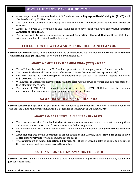- A mobile app to facilitate the collection of UCO and a sticker on **Repurpose Used Cooking Oil (RUCO)** shall also be released by FSSAI on the occasion.
- The Government of India is envisaging to produce biofuels from UCO under its **National Policy on Biofuels.**
- A strategy to divert UCO from the food value chain has been developed by the **Food Safety and Standards Authority of India (FSSAI).**
- <span id="page-19-0"></span> The session will also witness discussions on **Second Generation Ethanol & Biodiesel** from UCO along with issues and hurdles being faced by the sector.

# **4TH EDITION OF WTI AWARDS LAUNCHED BY NITI AAYOG**

**Current context:** NITI Aayog in collaboration with the United Nations, has launched the Fourth Edition of **Women Transforming India (WTI)** Awards in New Delhi on 9th August 2019.

## **ABOUT WOMEN TRANSFORMING INDIA (WTI) AWARD:**

- The WTI Awards was initiated in **2016** and recognises stories of exemplary women from across India.
- The **theme** for the World Transforming India Awards 2019 is **"Women and Entrepreneurship".**
- For WTI Awards 2019, **Whatsapp** has collaborated with the WEP to provide support equivalent to **\$100,000** to the winners.
- WTI Awards is a flagship initiative of **NITI Aayog** to celebrate the power of women and give recognition to their efforts for the society.
- <span id="page-19-1"></span> The theme of WTI 2019 is in continuation with the theme of **WTI 2018** that recognised women entrepreneurs for breaking stereotypes of male entrepreneur culture.

# **SAMAGRA SHIKSHA-JAL SURAKSHA**

**Current context: '**Samagra Shiksha-Jal Suraksha' was launched by the Union HRD Minister Sh. Ramesh Pokhriyal 'Nishank' and Union Minister for Jal Shakti Sh. Gajendra Singh Shekhawat on 9th August 2019.

## **ABOUT SAMAGRA SHIKSHA-JAL SURAKSHA DRIVE:**

- The drive was launched for **school students** to create awareness about water conservation among them and aims to connect more than **10 crore students** with this programme.
- Shri Ramesh Pokhriyal 'Nishank' asked School Students to take a pledge for saving **one-litre water every day.**
- A **booklet** prepared by the Department of School Education and Literacy, titled- **'How I am going to save 1-litre water every day?'** was also launched at the event.
- <span id="page-19-2"></span> **The Department of School Education & Literacy, MHRD** has prepared a detailed outline to implement this programme in all the schools across the country.

## **66TH NATIONAL FILM AWARDS FOR 2018**

**Current context:** The 66th National Film Awards were announced 9th August 2019 by Rahul Rawail, head of the Jury for feature films.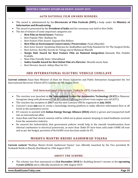## **66TH NATIONAL FILM AWARDS WINNERS:**

- The award is administered by the **Directorate of Film Festivals (DFF),** a body under the **Ministry of Information and Broadcasting.**
- The award is presented by the **President of India** and the ceremony was held in New Delhi.
- The list of winners of some important categories are:
	- o **Best Film on Social Issues-** Padman
	- o Best Popular Film- Badhaai Ho
	- o Best Feature Film Award- Gujarati film Hellaro
	- o **Best Film on Environment Conservation/ Preservation-** Paani (Marathi)
	- o Best Actor Award- Ayushman Khurana for Andhadhun and Vicky Kaushal for Uri The Surgical Strike
	- o Best Actress- Keerthy Suresh for Telugu movie Mahanati Marathi
	- o **Nargis Dutt Award for Best Feature Film on National Integration-** Kannada film Ondalla Eradalla
	- o Most Film Friendly State- Uttarakhand
	- o **Indira Gandhi Award for Best Debut Film of a Director-** Marathi movie Naal
	- o Best Director Award- Aditya Dhar for Uri

# **3RD INTERNATIONAL ELECTRIC VEHICLE CONCLAVE**

<span id="page-20-0"></span>**Current context:** Arjun Ram Minister of State for Heavy Industries and Public Enterprises inaugurated the 3rd International Electronic Vehicle (EV) Conclave on 9th August 2019.

## **3rd International Electronic Vehicle (EV) Conclave:**

- The conclave was launched at **the International Centre for Automotive Technology (ICAT)** in Manesar, Gurugram along with photometry Lab for General Lighting and power train engine test cell (ETC).
- The conclave has inception in **2017** and the next Conclave will be organized on **July 2020.**
- Concave's main **aim** was to create a knowledge-sharing platform to make effective information flow at all levels in the automotive sector.
- EV concave is assisted with **Indian Energy Storage Alliance (IESA)** which is grown and transported itself into an international affair.
- Arjun Ram said that electric mission will be rolled out in phase manner keeping in mind feedbacks received from the automotive industry.
- <span id="page-20-1"></span> He assured the Industrialists that government policies would help in the smooth transformation from internal combustion to electrical powertrain, as more than 3lakh EV have been sold under FAME till now and as per the budget, provision of Rs10,000 crore has been made for EV.

# **MUKHYA MANTRI KRISHI AASHIRWAD YOJANA**

**Current context:** "Mukhya Mantri Krishi Aashirwad Yojana" was officially launched by the Vice president M. Venkaiah Naidu in Ranchi, Jharkhand on 10th August 2019.

## **ABOUT THE SCHEME:**

 The scheme was first announced on **21st December 2018** for doubling farmer's income in the **upcoming 4 years (2022)** and is officially launched on 10th August 2019.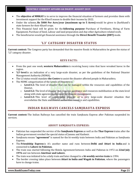- The **objective of MMKAY** is to serve to improve the financial situation of farmers and provides them with investment support for the Kharif season to double their income by 2022.
- Under the scheme, **Rs 5000 Per Acre/year (maximum up to 5 Acres)** would be given to Jharkhand's state farmers for their Kharif crops.
- This Financial fund will be given for the **following purpose-** Purchase of Fertilizers, Hiring of Farm Equipment, Purchase of Seed, Labour and land preparation and Any other Agriculture related work.
- <span id="page-21-0"></span>The beneficiaries would get financial assistance through the **Direct Benefit Transfer (DBT)** mode.

# **'L3' CATEGORY DISASTER STATUS**

**Current context:** The Congress party has demanded that the massive floods in Maharashtra be given the status of 'L3' category disaster.

## **KEYS FACTS:**

- From the past one week, **western Maharashtra** is receiving heavy rains that have wreaked havoc in the region.
- **'L3'-level** is an indication of a very large-scale disaster, as per the guidelines of the National Disaster Management Authority (NDMA).
- The L3 status would mandate **the Centre** to assist the disaster affected people in Maharashtra.
- The NDMC categorization of the Levels of Disasters is:
	- o **Level-L1:** The level of disaster that can be managed within the resources and capabilities of the District.
	- o **Level-L2:** The level of disaster that requires assistance and resources mobilization at the state level along with state agencies deployment for disaster management.
	- o **Level-L3:** This level of catastrophic disaster or a very large-scale disaster situation that overwhelms the State and District authorities resource and capabilities.

# **INDIAN RAILWAYS CANCELS SAMJHAUTA EXPRESS**

<span id="page-21-1"></span>**Current context:** The Indian Railways has cancelled the train Samjhauta Express after Pakistan suspended its services.

## **ABOUT SAMJHAUTA EXPRESS:**

- Pakistan has suspended the service of the **Samjhauta Express** as well as the **Thar Express** trains after the Indian government revoked the special status of Jammu and Kashmir.
- Samjhauta means **"agreement"** is named for the bi-weekly train between India and Pakistan as Samjhauta Express.
- The **Friendship Express** is it's another name and runs between **Delhi and Attari in India** and is connected to **Lahore in Pakistan.**
- The train was started following the Shimla Agreement between India and Pakistan in 1972 on **22nd July 1976** and ran between **Amritsar and Lahore.**
- The train was initiated to be a daily train and later changed to a **bi-weekly service train** in 1994.
- The border crossing takes place between **Attari in India and Wagah in Pakistan**, where the passengers have to change trains.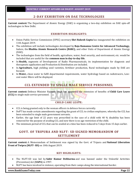# **2-DAY EXHIBITION ON DAE TECHNOLOGIES**

<span id="page-22-0"></span>**Current context:** The Department of Atomic Energy (DAE) is organizing a two-day exhibition on DAE spin-off technologies in New Delhi.

## **EXHIBITION HIGHLIGHTS:**

- Union Public Service Commission (UPSC) secretary **Shri Rakesh Gupta** has inaugurated the exhibition on 11th August 2019.
- The exhibition will include technologies developed by **Raja Ramanna Centre for Advanced Technology,** Indore, the **Bhabha Atomic Research Centre (BARC),** and other Units of Department of Atomic Energy (DAE).
- The technologies from the field of health, agriculture, water, food security, and environment, etc. would be included that are useful for the **common man in day-to-day life.**
- In **Health,** segments of Development of Radio Pharmaceuticals, its implementation for diagnosis and therapeutic application and Production & Distribution are included.
- In **Agriculture,** high yielding seed varieties, fertilizer production, Rural technologies made by DAE are focused.
- <span id="page-22-1"></span> In **Water,** clean water to fulfil departmental requirements, water hydrology based on radiotracers, Lowcost water filters will be displayed.

# **CCL EXTENDED TO SINGLE MALE SERVICE PERSONNEL**

**Current context:** Defence Minister Rajnath Singh has approved the extension of benefits of **Child Care Leave (CCL)** to single male service personnel.

## **CHILD CARE LEAVE:**

- CCL is being granted only to the woman officers in defence forces currently.
- DoPT has made certain amendments regarding the grant of CCL to civilian employees, whereby the CCL has been extended to single male government servants.
- Earlier, the age limit of 22 years was prescribed in the case of a child with 40 % disability has been removed for the purpose of availing CCL and now there is no age restriction of the child.
- <span id="page-22-2"></span>The minimum period of CCL that can be availed at a time has been reduced to 5 days from 15 days earlier.

# **GOVT. OF TRIPURA AND NLFT- SD SIGNED MEMORANDUM OF SETTLEMENT**

**Current context:** A Memorandum of Settlement was signed by the Govt. of Tripura and **National Liberation Front of Twipra (NLFT- SD)** on 10th August 2019.

## **KEY HIGHLIGHTS:**

- The NLFT-SD was led by **Sabir Kumar Debbarma** and was banned under the Unlawful Activities (Prevention) Act (**UAPA**) in 1997.
- NLFT has been involved in violence, operating from their camps along the international border.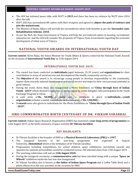- The GOI has initiated peace talks with NLFT in **2015** and there has been no violence by NLFT since 2016 after the talk.
- NLFT (SD) has surrendered 88 cadres with their weapons and agreed to **abjure the path of violence and join the mainstream.**
- The Ministry of Home Affairs will provide the surrendered cadres with benefits as per the **Surrender-cum-Rehabilitation Scheme, 2018.**
- <span id="page-23-0"></span> As per the MoS, the State Government of Tripura will help the surrendered cadres in housing, recruitment, education etc. and the GOI will consider the proposals of Tripura State Government regarding the economic development of tribal areas of Tripura.

# **NATIONAL YOUTH AWARDS ON INTERNATIONAL YOUTH DAY**

**Current context**: Kiren Rijiju, the Union Minister for Youth Affairs & Sports conferred the National Youth Awards on the occasion of **International Youth Day** on 12th August 2019.

## **INTERNATIONAL YOUTH DAY 2019:**

- The award has been conferred on **individuals** (aged between 15-29 years) and **organizations** for their contribution to areas of social service and development like health, community service, etc.
- The **Objective** of the award is to encourage young people to develop responsibility to the community, inspire them towards national development and social service and improve their own personal potential as good citizens.
- During the event, Kiren Rijiju also inaugurated a Photo Exhibition on **"China through Eyes of Indian Youth - 2019"** which showed a collection of photos taken by youth delegates who participated in the Youth Exchange Program to China.
- A cash prize of **Rs. 50,000/-,** a medal and, a certificate is given to **individuals**, a **youth organization** includes a medal, a certificate and a cash prize of **Rs. 2,00,000/-.**
- **3 awards** were also given to individuals for the Photo Exhibition on **"China through Eyes of Indian Youth - 2019".**

## <span id="page-23-1"></span>**ISRO COMMEMORATED BIRTH CENTENARY OF DR. VIKRAM SARABHAI**

**Current context:** Indian Space Research Organisation (ISRO) has launched a **year-long series of programmes** on 12th August 2019, at the birth centenary of space scientist **Dr Vikram Sarabhai.**

## **KEY HIGHLIGHTS:**

- Dr Vikram Sarabhai is the founder of ISRO as a **Physical Research Laboratory (PRL)** in **1947.**
- The inaugural function of the year-long programme was organized at Gujarat University, **Ahmedabad** which is the birthplace of Dr Vikram Sarabhai.
- Programmes including competitions for school children, space exhibitions, journalism awards and speeches by eminent personalities would be conducted across 100 selected cities from 12th August 2019.
- The yearlong celebration will end on **12th August 2020.**
- During the inaugural ceremony, a **commemorative coin** has been unveiled along with a unique **"Space on Wheels"** exhibition inside the bus was also inaugurated.
- Dr Vikram Sarabhai also is known as **the father of Indian Space Program** and a Coffee Table Book and a photo album of on life was unveiled on the occasion by ISRO.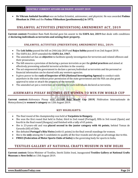<span id="page-24-0"></span> **Dr Vikram Ambalal Sarabhai** was an Indian Scientist, astronomer, and physicist. He was awarded **Padma Bhushan in 1966** and the **Padma Vibhushan (posthumously) in 1972.**

# **UNLAWFUL ACTIVITIES (PREVENTION) AMENDMENT ACT, 2019**

**Current context:** President Ram Nath Kovind gave his assent to the **UAPA Act, 2019** that deals with conditions of **declaring individuals as terrorists and seizing their property.**

## **UNLAWFUL ACTIVITIES (PREVENTION) AMENDMENT BILL, 2019:**

- The **Lok Sabha** passed the bill on 24th July 2019 and **Rajya Sabha** passed it on 2nd August 2019.
- The UAPA Act, 2019 amended the **UAPA Act, 1967.**
- The amended act has an **objective** to facilitate speedy investigation for terrorists and related offences and their prosecution.
- The bill ensures a provision of declaring a person terrorists as per the **global practices** and aimed at effectively preventing unlawful terrorist activities in the country.
- The act empowered the government to declare a person/individual as terrorists and his personal or financial information can be shared with any western agencies.
- It gives power to the **rank of Inspector of NIA (National Investigating Agency)** to conduct raids anywhere in the state without prior permission of the state government and the NIA can also grant approval to seize or attach the property of the terrorist.
- <span id="page-24-1"></span>The amended act put a restriction on travelling for such individuals declared as terrorists.

# **AISHWARYA PISSAY BECOMES 1ST WOMEN TO WIN FIM WORLD CUP**

**Current context:** Aishwarya Pissay won the **FIM Baja World Cup 2019**( Fédération Internationale de Motocyclisme) in **women's category** on 12th August 2019.

## **KEY HIGHLIGHTS:**

- The final round of the championship was held at **Varpalota in Hungary.**
- She won the first round that held in Dubai, third in 2nd round (Portugal), fifth in 3rd round (Spain) and fourth in the final round (Hungary) and finished with a tally of 65 points.
- She is 23-years-old and was **placed second in the junior category with 46 points**, behind Tomas de Gavardo (60) of Chile.
- She defeated **Portugal's Rita Vieira** (with 61 points) in the final overall standings for women.
- She is the **only** among the 5 candidates to qualify all the four rounds and she got an advantage due to this.
- <span id="page-24-2"></span>**FMSCI (Federation of Motor Sports Clubs of India)** is the governing body for sports in India.

# **TEXTILES GALLERY AT NATIONAL CRAFTS MUSEUM IN NEW DELHI**

**Current context:** Union Minister of Textiles, Smriti Zubin Irani, inaugurated **Textiles Gallery at National Crafts Museum** in **New Delhi** on 13th August 2019.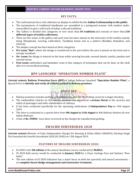## **KEY FACTS:**

- The craft museum has a rich collection on display to exhibit the fine **Indian Craftsmanship to the public.**
- The masterpieces of traditional handlooms are assembled in a juxtaposed manner with modern audiovisual effects to give a soft touch of Indian craft and traditions.
- The Gallery is divided into categories of over more than **30 traditions** and consists of more than **230 different types of textiles collections.**
- There are five zones in the gallery and each zone has been named on the intricacies of the textiles namely dying (Ikatpatola), weaving, embroidery, TanaBana based and as a pattern (Bandhej, Kalamkari, and Leheria).
- The display concept has been based on three categories:
- **Pre Loom "Ikat":** where the design is transferred to the yarn before the yarn is placed on the loom and is already visualized.
- **On- Loom:** the design is entered on the loom while weaving brocade, weaved shawls, muslin, jamdani and weaved sarees.
- <span id="page-25-0"></span>**Post Loom:** embroidery and kalamkari come in this category of techniques that can be done on the cloth after it is woven-block printing.

# **RPF LAUNCHED "OPERATION NUMBER PLATE"**

**Current context: Railway Protection Force (RPF)** of Indian Railways launched **"Operation Number Plate",** a Special Drive to **identify and verify all vehicles parked in Railway premises.**

#### **ABOUT RPF:** w

- Railway premises includes parking's, circulating area, and the 'No Parking' areas for a longer duration.
- The unidentified vehicles on the railway premises are considered a **serious threat** to the security and safety of passengers and other stakeholders of railways.
- It has been conducted specifically for the upcoming celebrations of **Independence Day** on 15th August 2019.
- The drive is conducted as a special drive from **9th August to 11th August** at 466 Railway Stations all over Indian Railways.
- <span id="page-25-1"></span>A fine of **Rs. 59000/-** have been recovered as the charges for unauthorized parking.

# **SWACHH SURVEKSHAN 2020**

**Current context:** Minister of State (Independent Charge) for Housing & Urban Affairs (MoHUA), Hardeep Singh Puri launched the Swachh Survekshan 2020 (SS 2020) on 13th August 2019.

## **FEATURES OF SWACHH SURVEKSHAN 2020:**

- SS 2020 is the **5th edition** of the annual cleanliness survey conducted by **MoHUA.**
- SS 2020 field survey would be conducted in **January 2020** for a Clean, Garbage Free and Sanitary "New India".
- The new edition of SS 2020 indicators has a major focus on both the quarterly and annual assessments on **complete faecal sludge management and wastewater treatment.**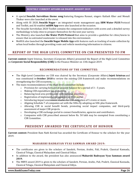- A special **Swachh Survekhan theme song** featuring Kangana Ranaut, singers Kailash Kher and Monali Thakur were also launched at the event.
- Along with SS 2020, **Swachh Nagar –** an integrated waste management app, **SBM Water PLUS** Protocol and Toolkit, and AI-enabled **mSBM App** were also launched at the occasion.
- The Swachh Survekshan 2020 Toolkit contains the component indicators with scores and a detailed survey methodology to help cities to prepare themselves for the next year survey.
- The Ministry also launched **the Water PLUS Protocol** that aims to provide a guideline for cities/towns to ensure that no untreated wastewater is released into the environment.
- MoHUA also launched the **Swachh Nagar Mobile App** with features such as tracking of waste collection by urban local bodies through providing route and vehicle monitoring information to citizens.

# <span id="page-26-0"></span>**REPORT OF THE HIGH LEVEL COMMITTEE ON CSR PRESENTED TO FM**

**Current context:** Injeti Srinivas, Secretary (Corporate Affairs) presented the Report of the High-Level Committee on **Corporate Social Responsibility (CSR)** to the Finance Minister on 13th August 2019.

## **RECOMMENDATIONS OF THE COMMITTEE:**

- The High-Level Committee on CSR was chaired by the Secretary (Corporate Affairs) **Injeti Srinivas** and was constituted in **October 2018** to review the existing CSR framework and make recommendations on strengthening the CSR ecosystem.
- The main recommendations of the High-level committee include:
	- $\circ$  Provision for carrying forward of unspent balance for a period of 3 5 years.
	- o Making CSR expenditure tax-deductible.
	- o Balancing local area preferences with national priorities.
	- o Registration of implementation agencies on MCA portal.
	- o Introducing impact assessment studies for CSR obligation of 5 crores or more.
	- o Aligning Schedule 7 of companies act with the SDGs by adopting an SDG plus framework.
	- o Allowing CSR in social benefit bonds, promoting social impact companies, and third-party assessment of major CSR projects.
	- o Developing a CSR exchange portal to connect beneficiaries, agencies and contributors.
	- o Companies with CSR prescribed amount below Rs. 50 lakh may be exempted from constituting a CSR Committee.

# **PRESIDENT AWARDED THE CERTIFICATE OF HONOUR**

<span id="page-26-1"></span>**Current context:** President Ram Nath Kovind has awarded the Certificate of Honour to the scholars for the year 2019.

## **MAHARSHI BADRAYAN VYAS SAMMAN AWARD 2019:**

- The certificates are given to the scholars of Sanskrit, Persian, Arabic, Pali, Prakrit, Classical Kannada, Classical Telugu, Classical Malayalam and Classical Odiya.
- In addition to the award, the president has also announced **Maharshi Badrayan Vyas Samman award 2019.**
- The MBVS award 2019 is given to the scholars of Sanskrit, Persian, Arabic, Pali, Prakrit, Classical Kannada, Classical Telugu, Classical Malayalam and Classical Odiya.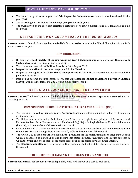- The award is given once a year on **15th August i.e. Independence day** and was introduced in the year **2002.**
- The award is given to scholars from the **age group of 30 to 45 years.**
- <span id="page-27-0"></span> The award given by the president **contains** a certificate of honour, a memento and Rs 1 lakh as a one-time cash prize.

# **DEEPAK PUNIA WON GOLD MEDAL AT THE JUNIOR WORLDS**

**Current context:** Deepak Punia has become **India's first wrestler** to win junior World Championship on 14th August 2019 in 18 years.

## **KEY HIGHLIGHTS:**

- He has won a **gold medal** at the **junior wrestling World Championship** with a win over **Russia's Alik Shebzukhov** to win the 86kg junior freestyle title.
- The tournament was held at **Tallinn, Estonia** on 14th August 2019.
- Deepak has won **silver** in the same category in **2018** in **Slovakia.**
- Deepak has won **gold** at the **Cadet World Championship in 2016.** He has missed out on a bronze in the junior worlds in 2017.
- <span id="page-27-1"></span> Deepak has become the first Indian to win gold since **Ramesh Kumar (69kg)** and **Palwinder Cheema (130kg)** won gold medals at the **2001** World junior championships.

# **INTER-STATE COUNCIL RECONSTITUTED WITH PM**

**Current context:** The Inter-State Council, which advises and investigates on states disputes, was reconstituted on 14th August 2019.

## **COMPOSITION OF RECONSTITUTED INTER STATE COUNCIL (ISC):**

- The council is chaired by **Prime Minister Narendra Modi** and six Union ministers and all chief ministers are its members.
- The Union ministers including Amit Shah (Home), Narendra Singh Tomar (Minister of Agriculture and Farmers Welfare, Rural Development and Panchayati Raj), Rajnath Singh (Defence), Nirmala Sitharaman (Finance), will be members of the reconstituted council.
- Chief ministers of all states and Union territories having legislative assemblies and administrators of the Union territories not having a legislative assembly will also be members of the council.
- The **Article 263 of the Constitution** contains the provisions for the establishment of an Inter-State Council which is mandated to advise upon and inquire into states disputes, investigate and discuss subjects in which the Union and one or more of the states, some or all of the states, have a common interest.
- <span id="page-27-2"></span> The **standing committee** will recommend matters pertaining to Centre-state relations for consideration of the council.

# **RBI PROPOSED EASING OF RULES FOR SANDBOX**

**Current context:** RBI has proposed to relax regulatory rules for Sandbox on a case to case basis.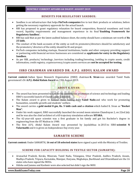#### **BENEFITS FOR REGULATORY SANDBOX:**

- Sandbox is an infrastructure that helps **FinTech companies** live to test their products or solutions, before getting the necessary regulatory approvals for the actual launch.
- RBI has proposed to grant regulatory relaxation for board composition, financial soundness and track record, liquidity requirements and management experience in its final **'Enabling Framework for Regulatory Sandbox'.**
- RBI has said that as per the latest audited balance sheet, the entity should have a minimum net worth of **Rs 25 lakh.**
- The conduct of the bank accounts of the entity as well its promoters/directors should be satisfactory and the promoters/ directors of the entity should be fit and proper.
- FinTech companies including startups, financial institutions, banks and other company providing support or partnering with financial services businesses are considered as **applicants for entry to the Regulatory Sandbox.**
- <span id="page-28-0"></span> As per RBI, products/ technology /services including trading/investing /settling in crypto assets, credit information, credit registry, cryptocurrency/crypto assets services are **not be accepted for testing.**

# **ISRO CHAIRMAN AWARDED DR. A.P.J. ABDUL KALAM AWARD**

**Current context:** Indian Space Research Organisation (ISRO) chairman **K. Sivan** was awarded Tamil Nadu government's Dr **A.P.J. Abdul Kalam Award** on 15th August 2019.

# **ABOUT K.SIVAN:**

- The award has been presented to him for his contribution promotion of science and technology and leading ISRO's successful launch of Chandrayaan-2 mission.
- The Kalam award is given to honour those hailing from **Tamil Nadu** and who work for promoting humanities, scientific growth and students' welfare.
- The award carries a **gold medal 8 gm, Rs. 5 lakh cash and a citation** which hailed K. Sivan as **"Rocket Man".**
- Under his work support, ISRO successfully launched the second moon mission Chandrayan 2, on 22nd July and he was also the chief architect of a 6D trajectory simulation software **SITARA.**
- The 62-year-old space scientist was a first graduate in his family and got his Bachelor's degree in engineering from the IIT Madras in 1980.
- <span id="page-28-1"></span> The first A.P.J. Abdul Kalam Award was presented by Jayalalithaa in 2015 to ISRO **scientist N Valarmathi** and it is given on Independence Day every year.

# **SAMARTH SCHEME**

**Current context:** Under SAMARTH, **16 out of 18 selected states** have signed a pact with the Ministry of Textiles.

## **SCHEME FOR CAPACITY BUILDING IN TEXTILE SECTOR (SAMARTH):**

- Arunachal Pradesh, Kerala, Mizoram, Tamil Nadu, Telangana, Uttar Pradesh, Andhra Pradesh, Assam, Madhya Pradesh, Tripura, Karnataka, Manipur, Haryana, Meghalaya, Jharkhand and Uttarakhand are the 16 states who have signed the MOUs.
- Odisha and Jammu and Kashmir were also selected but didn't sign the MOU.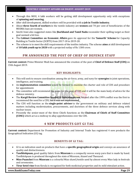- Through this MOU, 4 lakh workers will be getting skill development opportunity only with exceptions of **spinning and weaving.**
- After skill development, skilled workers will be provided with **a job in Textile industry.**
- About **three fourth of workers** in the textile industry are **women** and 70 per cent of beneficiaries of the MUDRA loan are women.
- Smriti Irani also suggested states like **Jharkhand and Tamil Nadu** reconsider their spilling target as their goal seemed a bit low.
- The **Cabinet Committee on Economic Affairs** gave its approval for the **'Samarth' Scheme** for Capacity Building in Textile Sector (SCBTS) from 2017-18 to 2019-20.
- <span id="page-29-0"></span> The scheme is to meet the skill requirements of the textiles industry. The scheme **aims** at skill development of **10 lakh youth up to 2020** with a projected outlay of Rs 1300 crore.

# **PM ANNOUNCED THE POST OF CHIEF OF DEFENCE STAFF**

**Current context:** Prime Minister Modi has announced the creation of the post of **Chief of Defence Staff (CDS)** on 15th August 2019.

## **KEY HIGHLIGHTS:**

- This will seek to ensure coordination among the air force, army, and navy for **synergies** in joint operations, intelligence, and training.
- An **implementation committee** would be formed to examine the charter and role of CDS and procedure for appointment.
- The committee will recommend the name for the post of CDS and it will be the main body of advice for the defence ministry.
- The **Kargil Review Committee headed K. Subrahmanyam,** formed after the 1999 conflict was the first to recommend the need for a CDS, but it was not implemented.
- The CDS will function as the **single-point adviser** to the government on military and defence related matters including modernisation, procurements, and doctrines of the three defence services along with nuclear issues.
- <span id="page-29-1"></span> Presently the senior-most of the three Chiefs functions as the **Chairman of Chiefs of Staff Committee (COSC)** which act as a midway to allay apprehensions over the CDS.

# **4 NEW PRODUCTS GOT GI TAG**

**Current context:** Department for Promotion of Industry and Internal Trade has registered 4 new products the Geographical Indication (GI) tag.

## **BENEFITS OF GI TAG:**

- GI is an indication used on products that have a **specific geographical origin** and conveys an assurance of quality and distinctiveness.
- **Tawlhlohpuan,** good quality fabric from **Mizoram** is a compactly woven warp yarn that is made by hand. Tawlhlohpuan is produced throughout the state of Mizoram, Aizawl and Thenzawl.
- **Mizo Puanchei** from **Mizoram** is a colourful Mizo shawl/textile used by almost every Mizo lady in festivals and ceremonies.
- **Tirur betel vine** from Kerala is recognized for both medicinal properties and its mild stimulant action.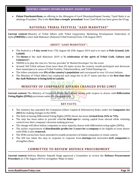<span id="page-30-0"></span> **Palani Panchamirtham,** an offering in the Abisegam of Lord Dhandayuthapani Swamy, Tamil Nadu is an abishega Prasadam. This is the **first time a temple 'prasadam'** from Tamil Nadu has been given the GI tag.

## **NATIONAL TRIBAL FESTIVAL "AADI MAHOTSAV"**

**Current context:** Ministry of Tribal Affairs with Tribal Cooperative Marketing Development Federation of India **(TRIFED)** to start Aadi Mahotsav (National Tribal Festival) from 17th August 2019.

## **ABOUT "AADI MAHOTSAV":**

- The festival is a **9-day event** from 17th August till 25th August 2019 and is to start at **Polo Ground, Leh-Ladakh.**
- The **theme** of the Aadi Mahotsav 2019 is **"A celebration of the spirit of Tribal Craft, Culture and Commerce".**
- TRIFED is to play the role of a 'Service provider' & 'Market Developer' for the event
- Around 160 Tribal artisans from more than 20 states across the country would participate and showcase their masterpiece in areas of Tribal Textiles, Tribal Jewellery, and Tribal Paintings etc.
- The tribes constitute over **8% of the country's population** and correspond to over 10 crore Indians.
- <span id="page-30-1"></span> The Ministry of Tribal Affairs has conducted such mega fair in all 27 states and this is the **first time that the Aadi Mahotsav is being held in Ladakh.**

# **MINISTRY OF CORPORATE AFFAIRS CHANGED DVRS LIMIT**

**Current context:** The Ministry of Corporate Affairs has relaxed norms with respect to shares with **Differential Voting Rights (DVRs)** provisions under the Companies Act.

## **KEY FACTS:**

- The ministry has amended the Companies (Share Capital & Debentures) Rules under the **Companies Act 2013** for making changes to the DVRs.
- The limit of issuing Differential Voting Rights (DVR) shares has been **revised from 26% to 74%.**
- The step has been taken to provide relief **to Start-ups** for raising capital from abroad while retaining control over their company's decision-making process.
- The change will allow Indian companies to issue majority shares with differential voting rights (DVRs).
- The earlier requirement of **distributable profits for 3 years for a company** to be eligible to issue shares with DVRs is also **removed.**
- The DVRs norms have been amended to enable promoters of Indian companies to retain control.
- <span id="page-30-2"></span> The GOI has taken the step in response to requests from **startups** and innovative **tech companies** to strengthen them.

# **COMMITTEE TO REVIEW DEFENCE PROCUREMENT**

**Current context:** Defence Minister Rajnath Singh approved a Committee to review the **Defence Procurement Procedure** on 17th August 2019 to strengthen 'Make in India'.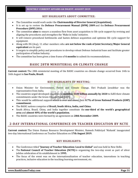## **KEY HIGHLIGHTS ABOUT COMMITTEE:**

- The Committee would work under the **Chairmanship of Director General (Acquisition).**
- It is set up to review the **Defence Procurement Manual (DPM) 2009** and the **Defence Procurement Procedure (DPP) 2016.**
- The committee **aims** to ensure a seamless flow from asset acquisition to life cycle support by revising and aligning the procedures and strengthen the 'Make in India' initiative.
- It will remove procedural bottlenecks and hasten defence acquisition and optimise life cycle support for equipment.
- Along with DG (Acq), 11 other members who **are not below the rank of Joint Secretary/Major General equivalent** are its part.
- It targets to simplify policy and procedures to develop robust Defence Industrial base and facilitate greater participation of Indian Industry.
- <span id="page-31-0"></span>The committee has been given a time frame of **6 months** to submit its recommendations.

# **BASIC 28TH MINISTERIAL ON CLIMATE CHANGE**

**Current context:** The 28th ministerial meeting of the BASIC countries on climate change occurred from 14th to 16th August in **Sao Paulo, Brazil.**

## **KEY HIGHLIGHTS OF MEETING:**

- Union Minister for Environment, Forest and Climate Change, Shri Prakash Javadekar was the representative from India.
- The countries urged developed countries to **mobilize \$100 billion annually by 2020** to fulfil their climate commitments under the Green Climate Fund (GCF).
- This would be additional support which is over and above their **0.7% of Gross National Products (GNP) commitment.**
- The BASIC nations comprise of **Brazil, South Africa, India, and China.**
- South Africa, Brazil, China, and India together constitute the **one-third of the world's geographical area** and **almost 40% of the world's population.**
- The BASIC countries were formed by an agreement on **28th November 2009.**

# <span id="page-31-1"></span>**2-DAY INTERNATIONAL CONFERENCE ON TEACHER EDUCATION BY NCTE**

**Current context:** The Union Human Resource Development Minister, Ramesh Pokhriyal 'Nishank' inaugurated two-day International Conference on Teacher Education on **17th August 2019.**

- The Conference titled **"Journey of Teacher Education: Local to Global"** and was held in New Delhi.
- The **National Council of Teacher Education (NCTE)** is organizing the two-day event as part of silver jubilee celebration of its establishment in **1995.**
- The focus of the event was on the internationalization of teacher education, innovations in teaching practices, inclusive education in the teaching-learning environment, etc.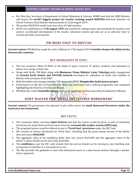- Ms. Rina Ray, Secretary of Department of School Education & Literacy, MHRD said that the HRD Ministry will launch the **world's biggest project for teacher training named NISHTHA** (National Initiative on School Teachers Head Holistic Advancement) on 22nd August 2019.
- The project NISHTHA would train more than 42 lakh teachers.
- <span id="page-32-0"></span> NCTE was established on **17th August 1995** and worked for setting norms and standards for teachers and achieve coordinated development of the teacher education system and also act as an advisory body to Central and State Governments.

## **PM MODI VISIT TO BHUTAN**

**Current context:** PM Modi has made his visit to Bhutan on 17th August 2019 **to further deepen the bilateral ties between the countries.**

## **KEY HIGHLIGHTS OF VISIT:**

- The two countries inked 10 MoUs in the fields of space research, IT, power, aviation, and education to infuse new energy in their ties.
- Along with MoUs, PM Modi along with **Bhutanese Prime Minister Lotay Tshering** jointly inaugurated the **Ground Earth Station and SATCOM network**, developed for utilization of South Asia Satellite in Bhutan with assistance from ISRO.
- Both the leaders also inaugurated the 720 megawatts (MW) **Mangdechhu hydel power project.**
- Performance on the life of Prime Minister Modi was performed and a cultural programme was organized highlighting the histories of India and Bhutan.
- <span id="page-32-1"></span>PM Modi also visited **Semtokha Dzong** which is an important spiritual and cultural landmark in Bhutan.

# **DEBT WAIVER FOR 'SMALL DISTRESSED BORROWERS'**

**Current context:** The government has planned to give debt waiver for **small distressed borrowers under the insolvency law framework.**

#### **KEY FACTS:**

- The Corporate affairs secretary **Injeti Srinivas** said that the waiver would be given as part of individual insolvency for small distressed borrowers from the **economically weaker section (EWS) only.**
- The proposed waiver would be offered as part of **'Fresh Start' provisions** under the IBC Code.
- IBC consists of various thresholds for 'Fresh Start', including that the gross annual income of the debtor does not exceed **Rs60,000.**
- The aggregate value of the qualifying debts does not exceed Rs35,000 and the aggregate value of the debtor's assets should not be more than Rs20,000.
- The **conditions** as per the IBC code include that the person should not be having an own dwelling unit, irrespective of whether it is encumbered or not.
- The IBC provides the guideline to deal with distressed assets in a time-bound manner through a marketdriven approach.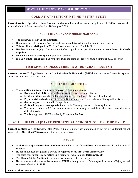## **GOLD AT ATHLETICKY MITINK REITER EVENT**

<span id="page-33-0"></span>**Current context: Sprinters Hima Das and Mohammad Anas** have won the gold each in **300m races** at the Athleticky Mitink Reiter event held on 18th August 2019.

## **ABOUT HIMA DAS AND MOHAMMAD ANAS:**

- The event was held in **Czech Republic.**
- Hima won the gold in women's event and Mohammad Anas claimed the gold in men's category.
- This was Hima's **sixth gold in 2019** in European races since 2nd July 2019.
- Her last win was on July 20 when she clinched a gold in her pet 400m event at **Nove Mesto in Czech Republic.**
- Mohammad Anas won the gold in just 32.41 seconds.
- <span id="page-33-1"></span>India's **Nirmal Tom** clinched a bronze medal in the same event by clocking a timing of 33.03 seconds.

# **FISH SPECIES DISCOVERED IN ARUNACHAL PRADESH**

**Current context:** Zoology Researchers of the **Rajiv Gandhi University (RGU)** have discovered 5 new fish species across various districts of the state.

# **ABOUT THE FISH SPECIES:**

- **The scientific names of the newly-discovered fish species are:**
	- o **Exostoma kottelati,** found in Ranga river in Lower Subansiri district
	- o **Mystus prabini,** found in Sinkin and Dibang rivers in Lower Dibang Valley district
	- o **Physoschistura harkishorei,** found in Dibang and Lohit rivers in Lower Dibang Valley district
	- o **Garra ranganensis,** found in Ranga river
	- o **Creteuchiloglanis tawangensis,** found in the Tawangchu river in Tawang district
	- o The water bodies in A.P. in remote areas are not easily accessible to the researchers due to a difficult terrain
	- o The Zoology team of RGU was led by **Professor DN Das**

# <span id="page-33-2"></span>**ATAL BIHARI VAJPAYEE RESIDENTIAL SCHOOLS TO BE SET UP BY UP**

**Current context:** Yogi Adityanath, Uttar Pradesh Chief Minister has announced to set up a residential school named after **Atal Bihari Vajpayee** and other major initiatives.

## **ABOUT:**

- **Atal Bihari Vajpayee residential schools** would be set up for **children of labourers** in all 18 divisions of the state.
- He has announced the plan as a tribute to Vajpayee on his **first death anniversary.**
- The state government is also setting up a memorial in his name in **Bateshwar, UP.**
- The **Ekana Cricket Stadium** in Lucknow is also named after Mr. Vajpayee.
- He has also said that a **satellite centre of KGMU** is being set up in **Balrampur,** from where Vajpayee had contested elections in 1957.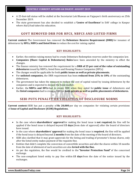- A 25-foot-tall statue will be stalled at the Secretariat Lok Bhawan on Vajpayee's birth anniversary on 25th December 2019.
- <span id="page-34-0"></span> The state government has also decided to establish a **'Centre of Excellence'** in DAV college in Kanpur where Atal Ji had taken his education.

# **GOVT REMOVED DRR FOR HFCS, NBFCS AND LISTED FIRMS**

**Current context:** The Government has removed the **Debenture Reserve Requirement (DRR)** for issuance of debentures by **HFCs, NBFCs and listed firms** to reduce the cost for raising capital.

## **KEY HIGHLIGHTS:**

- Earlier, the entities raising money had to create Debenture Redemption reserves under the companies law.
- **Companies (Share Capital & Debentures) Rules** have been amended by the ministry to effect the changes.
- The finance ministry has removed the requirement for a **DRR of 25 per cent of the value of outstanding debentures** issued by NBFCs, listed firms and Housing Finance Companies (HFCs)
- The changes would be applicable for both **public issues as well as private placements.**
- For **unlisted companies,** the DRR requirement has been **reduced from 25% to 10%** of the outstanding debentures.
- The government has taken the measure to reduce the cost of capital raised by issuing debentures by the companies and is expected to deepen the bond market.
- <span id="page-34-1"></span> Earlier, the **NBFCs and HFCs** had to create DRR when they opted for **public issue** of debentures and the **listed companies** had to create a DRR for **both private as well as public placements of debentures.**

# **SEBI PUTS PENALTY ON VIOLATION OF DISCLOSURE NORMS**

**Current context:** SEBI has put a penalty of **Rs 20,000** per day on companies for violating certain provisions of **Issue of Capital and Disclosure (ICDR) Regulations.**

- In the case where **shareholders' approval** for making the bond issue is **not required,** the fine will be applied if the bond issue is delayed beyond **15 days** (from date of approval) after the board of directors have issued.
- In the case where **shareholders' approval** for making the bond issue is **required**, the fine will be applied if the bond issue is delayed beyond **2 months** from the date of the meeting of the board of directors.
- SEBI also clarified that it may grant approvals for the listing and trading of promoter's bonus shares, only after the listed entity makes payment of the requisite fine.
- Entities that didn't complete the conversion of convertible securities and allot the shares within 18 months from the date of allotment of such securities are also **levied with the fine.**
- As per the regulation, the fine would be credited to the **"Investor Protection Fund"** of the concerned exchange.
- The non-compliant listed entity to pay fine within **15 days** from the date of the notice issued by the exchanges.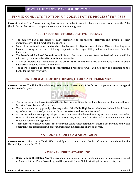## <span id="page-35-0"></span>**FINMIN CONDUCTS "BOTTOM-UP CONSULTATIVE PROCESS" FOR PSBS**

**Current context:** The Finance Ministry has taken an initiative to seek feedback on several issues from the PSBs (Public Sector Banks) and to prepare a roadmap for the coming years.

## **ABOUT "BOTTOM-UP CONSULTATIVE PROCESS":**

- The ministry has asked banks to align themselves to the **national priorities** and involve all their approximately 1 lakh branches in the exercise.
- Some of the **national priorities to which banks need to align include** Jal Shakti Mission, doubling farm income, housing for all, ease of living, corporate social responsibility, education loans, and financial inclusion.
- The **State-level Bankers' Committee** will discuss the issues received from the feedback and it will be followed by a **national-level interaction** in September.
- A similar exercise was conducted by the **Union Bank of India** on areas of enhancing credit to small businesses, doubling farmers' income etc.
- <span id="page-35-1"></span> The exercise, termed as **"bottom-up consultative process"** for PSBs, will also provide a direction to the banks for the next five years.

# **UNIFORM AGE OF RETIREMENT FOR CAPF PERSONNEL**

**Current context:** The Union Home Ministry order made all personnel of the forces to superannuate at the **age of 60, instead of 57 years.**



- The personnel of the forces **includes** the Central Reserve Police Force, Indo-Tibetan Border Police, Border Security Force, Sashastra Seema Bal.
- The development is triggered by a January order of the **Delhi High Court,** which has declared the different age of superannuation of personnel as **"discriminatory and unconstitutional".**
- According to the present policy, all personnel in the Central Industrial Security Force and the Assam Rifles retire at the **age of 60** and personnel in CRPF, SSB, BSF, ITBP from the ranks of commandant to the constable retire at the **age of 57.**
- <span id="page-35-2"></span> These forces are deployed across the country for conducting operations of internal security like anti-Naxal operations, counterterrorism, border guarding and maintenance of law and order.

# **NATIONAL SPORTS AWARDS -2019**

**Current context:** Ministry of Youth Affairs and Sports has announced the list of selected candidates for the National Sports Awards -2019.

## **NATIONAL SPORTS AWARDS- 2019:**

 **Rajiv Gandhi Khel Ratna Award** is given to a sportsperson for an outstanding performance over a period of 4 years. Bajrang Punia (Wrestling) and Deepa Malik (Para-Athletics) will get the award this year.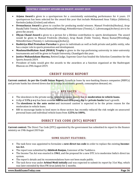- **Arjuna Award** is given to a sportsperson for a consistently outstanding performance for 4 years. 19 sportsperson has been selected for the award this year that include Mohammed Anas Yahiya (Athletics), Ravindra Jadeja (Cricket) and others.
- **Dronacharya Award** is given to coaches for producing medal winners. Manuel Fredricks(Hockey), Arup Basak(Table Tennis), Manoj Kumar(Wrestling), NittenKirrtane (Tennis), C. Lalremsanga(Archery) are to be given the award.
- **Dhyan Chand Award** is given to a person for a lifetime contribution to sports development. The award would be given to Manuel Fredricks (Hockey), Arup Basak (Table Tennis), Manoj Kumar(Wrestling), NittenKirrtane (Tennis), C. Lalremsanga(Archery).
- **Rashtriya Khel Protsahan Puruskar** is given to individuals as well as both private and public entity, who has a major role in sports promotion and development.
- **MaulanaAbulKalam Azad (MAKA) Trophy** is given to the top-performing university in inter-university tournaments and will be given to Punjab University, Chandigarh this year.
- **Justice Mukundakam Sharma,** Retired Judge, Supreme Court has headed the Selection Committee for the Sports Awards 2019.
- <span id="page-36-0"></span> President of India would give the awards to the awardees at a function organized at the Rashtrapati Bhawan on 29th August 2019.

# **CREDIT SUISSE REPORT**

**Current context: As per the Credit Suisse Report,** Growth in loans by non-banking finance companies (NBFCs) and private banks has slowed down due to a slump in economic growth, consumption demand, etc.

# **KEY FACTS:**

- The slowdown in the private sector lenders is caused mainly due to **moderation in vehicle loans.**
- A dip of **11% y-o-y** has been seen for **NBFCs** and **15% y-o-y dip** for **private banks** loan's growth.
- The **slowdown in the auto sector** and increased caution is expected to be the prime reason for the moderation in vehicle loans.
- <span id="page-36-1"></span> RBI to encourage banks to lend more in these sectors has recently reduced the risk weight on unsecured personal loans and individual vehicle loans from **125% to 100%.**

# **DIRECT TAX CODE (DTC) REPORT**

**Current context:** The Direct Tax Code (DTC) appointed by the government has submitted its report to the finance ministry on 19th August 2019.njn

## **SOME SILENT FEATURES:**

- The task force was appointed to formulate a **new direct tax code** in order to replace the existing **Incometax Act.**
- The report was submitted by **Akhilesh Ranjan,** Convenor of the Taskforce.

**COLLEGE** 

- The Income Tax Act was enacted in **1961**, and the proposal for a new DTC is to modernise India's direct tax system.
- The report's details and its recommendations have not been made public.
- The task force was under **Arbind Modi initially** and was expected to submit its report by 31st May, which was later extended by then FM Arun Jaitely for 2 months.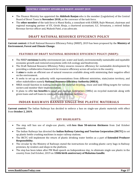- The Finance Ministry has appointed the **Akhilesh Ranjan** who is the member (Legislation) of the Central Board of Direct Taxes in **November 2018,** as the convenor of the task force.
- <span id="page-37-0"></span> The **other member** of the task force is Mansi Kedia, a consultant with ICRIER, Rajiv Memani, chairman and regional managing partner of EY, Girish Ahuja, a chartered accountant, G.C. Srivastava, a retired Indian Revenue Service officer and, Mukesh Patel, a tax advocate.

# **DRAFT NATIONAL RESOURCE EFFICIENCY POLICY**

**Current context:** A Draft National Resource Efficiency Policy (NREP), 2019 has been proposed by the **Ministry of Environment, Forest and Climate Change.**

## **FEATURES OF DRAFT NATIONAL RESOURCE EFFICIENCY POLICY (NREP):**

- The NREP **envisions** healthy environment (air, water and land), environmentally sustainable and equitable economic growth and restored ecosystems with rich ecology and biodiversity.
- The Draft National Resource Efficiency Policy ensures resource efficiency for sustainable development by providing a collaborative framework for resource efficiency across all sectors in the country.
- It **aims** to make an efficient use of natural resources available along with minimizing their negative effect on the environment.
- It seeks to set up an authority with representations from different ministries, state/union territory, and other stakeholders namely **National Resource Efficiency Authority (NREA).**
- NREA would function in making strategies for material recycling, reuse and land-filling targets for various sectors and monitor their implementation.
- <span id="page-37-1"></span> It plans to offer **tax benefits** to small and medium Enterprises (SMEs) on recycled materials along with green loans and soft loans to construct waste disposal facilities.

# **INDIAN RAILWAYS BANNED SINGLE-USE PLASTIC MATERIALS**

**Current context:** The Indian Railways has decided to enforce a ban on single-use plastic materials with effect from **October 2, 2019.**

- The step will ban use of single-use plastic, with **less than 50-micron thickness** from 2nd October onwards.
- The Indian Railways has directed the **Indian Railway Catering and Tourism Corporation (IRCTC)** to set up plastic bottle crushing machines in major railway stations.
- The IRCTC will implement the return of plastic drinking water bottles as a part of **Extended Producer Responsibility.**
- The circular by the Ministry of Railways stated the instructions for avoiding plastic carry bags in Railway premises, by vendors and shops in the platform.
- The step has been taken after PM Modi speech on Independence day, to eliminate single use plastic in the country from 2nd October, 2019 on **150th birth anniversary of Mahatma Gandhi.**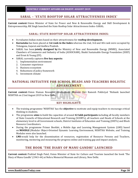## **SARAL – 'STATE ROOFTOP SOLAR ATTRACTIVENESS INDEX'**

<span id="page-38-0"></span>**Current context:** Union Minister of State for Power and New & Renewable Energy and Skill Development & Entrepreneurship, RK Singh launched the State Rooftop Solar Attractiveness Index–SARAL.

## **SARAL: STATE ROOFTOP SOLAR ATTRACTIVENESS INDEX:**

- It evaluates Indian states based on their attractiveness for **rooftop development.**
- **Karnataka** has been placed at **1st rank in the Index** whereas the 2nd, 3rd and 4th rank were occupied by Telangana, Gujarat and Andhra Pradesh.
- SARAL has been **jointly designed by** the Ministry of New and Renewable Energy (MNRE), Associated Chambers of Commerce and Industry of India (ASSOCHAM), Shakti Sustainable Energy Foundation (SSEF) and Ernst & Young (EY).
- SARAL currently captures **five key aspects:**
	- 1. Implementation environment
	- 2. Consumer experience
	- 3. Business ecosystem
	- 4. Robustness of policy framework
	- 5. Investment climate

# <span id="page-38-1"></span>**NATIONAL INITIATIVE FOR SCHOOL HEADS AND TEACHERS HOLISTIC ADVANCEMENT**

**Current context:** Union Human Resource Development Minister Shri Ramesh Pokhriyal 'Nishank launched NISHTHA on 21nd August 2019 in New Delhi.

## **KEY HIGHLIGHTS:**

- The training programme 'NISHTHA' has the **objective** to motivate and equip teachers to encourage critical thinking in students.
- The programme **aims** to build the capacities of around **42 lakh participants** including all faculty members of State Councils of Educational Research and Training (SCERTs), all teachers and Heads of Schools at the elementary level in all Government schools, District Institutes of Education and Training (DIETs) and Block Resource Coordinators.
- During the programme Primer Booklet, a Mobile App and Learning Management System (LMS) based on **MOODLE** (Modular Object-Oriented Dynamic Learning Environment, NISHTHA Website, and Training Modules were also launched.
- <span id="page-38-2"></span> **LMS** would help for the dissemination of resources, registration of Resource Persons and Teachers, monitoring, mentoring and measuring the progress online and training gap and impact analysis.

# **THE BOOK 'THE DIARY OF MANU GANDHI' LAUNCHED**

**Current context:** Prahlad Singh Patel, Union Minister of State for Culture and Tourism launched the book 'The Diary of Manu Gandhi' (1943-44) at Nehru Memorial Museum and Library, New Delhi.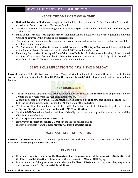## **ABOUT 'THE DIARY OF MANU GANDHI':**

- **National Archives of India** has brought out the book in collaboration with Oxford University Press on the occasion of 150th anniversary of Mahatma Gandhi.
- The Diary of Manu Gandhi was originally written in **Gujarati** and has been edited and translated by Dr Tridip Suhrud.
- Manu Gandhi (Mridula) was a **grand niece** of Mahatma Gandhi, daughter of his Nephew Jaisukhlal Amritlal Gandhi, and stayed with Gandhiji till his assassination.
- The book throws light on Mahatma Gandhi's life as a prisoner and his endeavour to establish the possibility of collective non-violence.
- The **National Archives of India** is an Attached Office under the **Ministry of Culture** which was established as the Imperial Record Department on 11th March 1891 at Kolkata (Calcutta).
- <span id="page-39-0"></span> Following the transfer of the capital from **Calcutta to Delhi in 1911**, the present building of the National Archives of India was designed by **Sir Edwin Lutyens** and constructed in 1926. By 1937, the task of transfer of all records from Calcutta to New Delhi was completed.

# **CBDT'S CLARIFICATION TO AVAIL TAX HOLIDAY**

**Current context:** CBDT (Central Board of Direct Taxes) clarified that small start-ups with turnover up to Rs. 25 crores, a condition specified in **Section 80-IAC of the Income Tax Act, 1961** will continue to get the promised tax holiday.

# **KEY HIGHLIGHTS:**

- The tax holiday for small startups provides a deduction for **100% of the income** of an eligible start-up **for 3 years** out of 7 years from the year of its incorporation.
- A start-up recognised by **DPIIT (Department for Promotion of Industry and Internal Trade)** has to fulfil the conditions specified in Section 80-IAC for claiming this deduction.
- The turnover limit for small start-ups to be eligible for deduction is to be determined by the provisions of **Section 80-IAC of the Act** and **not from the DPIIT notification.**
- **Section 80-IAC** contains a detailed definition of the eligible start-up which, provides that a start-up shall be eligible for the deduction, if
- It is incorporated on or after **1st April 2016.**
- Its turnover **does not exceed Rs. 25 crore** in the year of deduction, and
- <span id="page-39-1"></span>It holds a certificate from the **Inter-Ministerial Board of Certification.**

# **'SAN-SADHAN' HACKATHON**

**Current context:** Government has invited applications for tech enthusiasts to participate in 'San-Sadhan' hackathon- for **Divyangjan accessible toilets.**

## **KEY FACTS:**

- It is being organised jointly by the **Department of Empowerment of Persons with Disabilities** and the **Ministry of Jal Shakti** in collaboration with Atal Innovation Mission, NITI Aayog.
- It is an initiative of the government under the **Swachh Bharat Mission** for making accessible, easy to use and smarter toilets for **Persons with Disabilities.**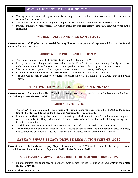- Through this hackathon, the government is inviting innovative solutions for economical toilets for use in rural and urban contexts.
- The technology enthusiasts are eligible to apply there innovative solutions till **28th August 2019.**
- <span id="page-40-0"></span> Students innovators, researchers, start-ups, industry experts, technology enthusiasts can participate in the Hackathon.

## **WORLD POLICE AND FIRE GAMES 2019**

**Current context: CISF (Central Industrial Security Force)** Sports personnel represented India at the World Police and Fire Games-2019.

## **ABOUT WORLD POLICE AND FIRE GAMES:**

- The competition was held at **Chengdu, China** from 08-18 August 2019.
- It represents an Olympic-style competition with 10,000 athletes representing fire-fighters, law enforcement, and officers from corrections, immigration, probation, border protection, and customs.
- 70+ countries participated in the competition across the world competing in 60+ sports.
- CISF won **5 Gold, 3 Silver and 2 Bronze Medals** at the event, i.e. is a total of 10 medals.
- <span id="page-40-1"></span> The gold was brought in categories of Rifle (Shooting), Judo (60 kg), Boxing (54 kg), Pole Vault and Javelin Throw.

# **FIRST WORLD YOUTH CONFERENCE ON KINDNESS**

**Current context:** President Ram Nath Kovind has inaugurated the 1st World Youth Conference on Kindness on **23rd August 2019 in New Delhi.**

## **ABOUT CONFERENCE:**

- The 1st WYCK was organised by the **Ministry of Human Resource Development** and **UNESCO Mahatma Gandhi Institute of Education for Peace and Sustainable Development.**
- It aims to motivate the global youth for imparting critical competencies (i.e. mindfulness, empathy, compassion, and critical inquiry) and make them able to transform themselves and build long-lasting peace in their communities.
- Youth leaders representing over 27 countries across the world participated in this Conference.
- <span id="page-40-2"></span> The conference focused on the need to educate young people to transcend boundaries of class and race, find solutions to entrenched structural injustices and inequities and to follow Gandhiji's steps.

## **SABKA VISHWAS-LEGACY DISPUTE RESOLUTION SCHEME, 2019**

**Current context:** Sabka Vishwas-Legacy Dispute Resolution Scheme, 2019 has been notified by the government and will be operationalized from 1st September 2019 till 31st December 2019.

#### **ABOUT SABKA VISHWAS-LEGACY DISPUTE RESOLUTION SCHEME 2019:**

 Finance Minister has announced the Sabka Vishwas-Legacy Dispute Resolution Scheme, 2019 in the **Union Budget 2019-20.**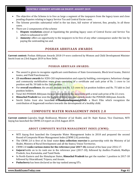- The objective of the Scheme is to free as large a segment of the taxpayers from the legacy taxes and close pending disputes relating to legacy Service Tax and Central Excise cases.
- The Scheme provides substantial relief in the tax dues, full waiver of interest, fine, penalty, In all these cases.
- There are 2 components of the scheme
	- 1. **Dispute resolution:** aimed at liquidating the pending legacy cases of Central Excise and Service Tax which is subsumed in GST
	- 2. **Amnesty:** offers an opportunity to the taxpayers to be free of any other consequence under the law by paying the outstanding tax and.

# **POSHAN ABHIYAAN AWARDS**

<span id="page-41-0"></span>**Current context:** Poshan Abhiyaan Awards 2018-19 were conferred by Women and Child Development Minister Smriti Irani on 23rd August 2019 in New Delhi.

## **POSHAN ABHIYAAN AWARDS:**

- The award is given to recognize significant contributions of State Governments, Block level teams, District teams, and Field Functionaries.
- **23 excellence awards** for ICDS-CAS implementation and capacity building, convergence, behaviour change and community mobilization were given consisting of a certificate and cash prize of Rs. 1 crore to 1st position and Rs. 50 lakh to the 2nd position.
- For **overall excellence**, the award amount was Rs. 1.5 crore to 1st position holders and Rs. 75 lakh to 2nd position holders.
- Total 363 POSHAN Abhiyaan Awards were given to the awardees with a total cash prize of Rs 22 crore.
- **Himachal Pradesh** has won the highest of three national awards under the POSHAN Abhiyaan Awards.
- <span id="page-41-1"></span> Smriti Zubin Irani also launched #**ThankyouAnganwadiDidi-** a Short Film which recognizes the contribution of Anganwadi workers towards the development of a healthy child.

# **COMPOSITE WATER MANAGEMENT INDEX 2.0**

**Current context:** Gajendra Singh Shekhawat, Minister of Jal Shakti, and Dr. Rajiv Kumar, Vice Chairman, NITI Aayog has launched the CWMI 2.0 report on 23rd August 2019.

## **ABOUT COMPOSITE WATER MANAGEMENT INDEX (CWMI):**

- NITI Aayog first launched the Composite Water Management Index in 2018 and prepared the second Round of Composite Water Management Index (CWMI 2.0) yesterday.
- The CWMI 2.0 is first of its kind water **data collection exercise** in partnership with the Ministry of Jal Shakti, Ministry of Rural Development and all the States/ Union Territories.
- CWMI 2.0 **ranks various states for the reference year 2017-18,** instead of the base year 2016-17.
- **Gujarat** holds on to its rank one in the reference year (2017-18), followed by Andhra Pradesh, Madhya Pradesh, Goa, Karnataka, and Tamil Nadu.
- In North-Eastern and the Himalayan States, **Himachal Pradesh** has got the number 1 position in 2017-18 followed by Uttarakhand, Tripura, and Assam.
- **Puducherry** has been declared as the top ranked among UTs.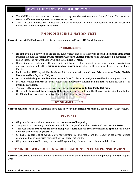- The CWMI is an important tool to assess and improve the performance of States/ Union Territories in terms of **efficient management of water resources.**
- <span id="page-42-0"></span> This is a set of metrics that measured different dimensions of water management and use across the lifecycle of water at the **pan-India level.**

# **PM MODI BEGINS 3-NATION VISIT**

**Current context:** PM Modi completed his three-nation tour to **France, UAE and, Bahrain.**

## **KEY HIGHLIGHTS:**

- He embarked a 2-day visit to France on 22nd August and hold talks with **French President Emmanuel Macron.** He met the **French Prime Minister Edouard Charles Philippe** and inaugurated a memorial for Indian Victims of Air Crashes in 1950 and 1966 in **Nid D' Aigle.**
- Discussions were held on reaffirming India and France as like-minded partners, on defence acquisitions and partnership and setting **Jaitapur nuclear power plant** along with operational needs in the Indo-Pacific.
- Modi reached UAE capital Abu Dhabi on 23rd and met with the **Crown Prince of Abu Dhabi, Sheikh Mohammed bin Zayed Al Nahyan.**
- He received the **highest civilian decoration of UAE 'Order of Zayed',** conferred by the UAE government.
- PM Modi visited **Bahrain** on 24th August and met **Prince Khalifa Bin Salman Al Khalifa,** the PM of Bahrain, in Manama.
- The visit is Bahrain is historic as this is the **first-ever visit by an Indian PM to Bahrain.**
- <span id="page-42-1"></span> He formally **launched RuPay card in Bahrain** which is the first time the Rupay card is being launched in the Middle East, to expand the network of cashless transactions abroad.

## **G7 SUMMIT 2019**

**Current context:** The 45th G7 summit is to be held this year in **Biarritz, France** from 24th August to 26th August.

## **KEY FACTS:**

- G7 group this year's aim is to combat the **root causes of inequality.**
- This year G7's presidency is with **France** and after this year's conclusion USA will take over for **2020.**
- This year **India's PM Narendra Modi along** with **Australian PM Scott Morrison** and **Spanish PM Pedro Sánchez are invited as guests in G7.**
- G7 has 9 leaders out of which 2 are representing EU and rest 7 are the leader of the seven largest economies these 7 countries represent 58% of global net worth.
- <span id="page-42-2"></span>G7 group **consists of** Germany, the United Kingdom, Italy, Canada, France, Japan, and the USA.

# **PV SINDHU WON GOLD IN WORLD BADMINTON CHAMPIONSHIP 2019**

**Current context:** PV Sindhu became world champion in WBC (World Badminton Championship) on 25th August 2019.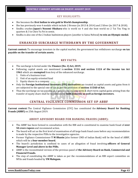## KEY HIGHLIGHTS:

- She becomes the **first Indian to win gold in World championship.**
- She has previously won 4 medals which include 2 Bronze (in 2013 & 2014) and 2 Silver (in 2017 & 2018).
- Sindhu crushes **Japan's Nozomi Okuhara** who is world no 4 and she beat world no 2 Tai Tzu Ying in quarters & 3 in Chen Yu Fei in semis.
- <span id="page-43-0"></span>Sindhu is also one of the 2 Indian badminton players (another is Saina Nehwal) **to win an Olympic medal.**

# **ENHANCED SURCHARGE WITHDRAWN BY THE GOVERNMENT**

**Current context:** To encourage investors in the capital market, the government has withdrawn surcharge **on tax payable on the transfer of certain assets.**

## **KEY FACTS:**

- The surcharge is levied under the **Finance (No. 2) Act, 2019.**
- Following capital assets are mentioned in **section 111A and section 112A of the income tax Act 1961** which are **exempted** from levy of the enhanced surcharge.
	- 1. Units of a business trust
	- 2. Unit of an equity-oriented fund
	- 3. Equity shares in a company.
- Only the **Foreign Institutional Investors (FPI) derivatives** are treated as capital assets and gains from it are subjected to the special rate of tax as per the provision of **section 115AD of Act.**
- <span id="page-43-1"></span>Thus the surcharge on tax payable at a special rate on long-term & short-term capital gains arising from the transfer of equity share shall be withdrawn for **both domestic as well as foreign investors.**

# **CENTRAL VIGILANCE COMMISSION SET UP ABBF**

**Current context:** The Central Vigilance Commission (CVC) has constituted the **Advisory Board for Banking Frauds (ABBF)** on 25th August 2019.

## **ABOUT ADVISORY BOARD FOR BANKING FRAUDS (ABBF):**

- The ABBF has been formed in consultation with the RBI and is constituted to examine bank fraud of **over 50 crore rupees** and recommend action.
- The board will act as the first level of examination of all large bank fraud cases before any recommendation is made by the respective PSBs to the investigative agencies.
- Former Vigilance Commissioner **T M Bhasin** (also former CMD of Indian Bank) will be the head of ABBF, which will be a **four-member board.**
- The board's jurisdiction is confined to cases of an allegation of fraud involving **officers of General Manager Level and above in the PSBs.**
- ABBF is the reconstituted version of the previous panel of **the Advisory Board on Bank, Commercial and Financial Frauds.**
- The step of constituting the ABBF is taken as per the recommendations of an RBI expert committee on NPAs and frauds headed by **YM Malegam.**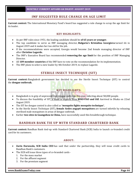# **IMF SUGGESTED RULE CHANGE ON AGE LIMIT**

<span id="page-44-0"></span>**Current context:** The International Monetary Fund's board has suggested a rule change to scrap the age limit for its leader.

## **KEY HIGHLIGHTS:**

- As per IMF rules since 1951, the leading candidate should be **of 65 years or younger.**
- The top candidate to serve as IMF managing director, **Bulgaria's Kristalina Georgieva** turned 66 in August 2019 and it makes her too old for the job.
- If the recommendations were accepted, Georgia would become 2nd female managing director of IMF after **Christine Lagarde.**
- The IMF's Executive Board has recommended **removing the age limit** for the position of IMF Managing Director.
- All **189 member countries** of the IMF have to vote on the recommendation for its implementation.
- <span id="page-44-1"></span>The IMF plans to select a new leader by 4th October 2019, to replace Lagarde.

# **STERILE INSECT TECHNIQUE (SIT)**

**Current context:** Bangladesh government has decided to use the Sterile Insect Technique (SIT) to control the **dengue outbreak.**

# **KEY HIGHLIGHTS:**

- Bangladesh is in grip of unprecedented dengue outbreak this year, infecting about 58,000 people.
- To discuss the feasibility of SIT, a team of experts from **WHO-FAO and IAE** Aarrived in Dhaka on 22nd August 2019.
- The SIT for dengue control is also called as **'mosquito fights mosquito technique'.**
- In the Sterile Insect Technique (SIT), **female Aedes aegypti mosquitoes** are turned infertile by releasing sterilised male mosquitoes in areas of dengue outbreak.
- <span id="page-44-2"></span>Earlier **two sites in Guangzhou in China,** have successfully used this breakthrough technique.

# **BANDHAN BANK TIE UP WITH STANDARD CHARTERED BANK**

**Current context:** Bandhan Bank tied-up with Standard Chartered Bank (SCB) India to launch co-branded credit card for its customers.

## **ABOUT:**

- **Zarin Daruwala, SCB India CEO** has said that under the partnership, they will issue credit cards to Bandhan Bank's customers.
- The SCB will issue three types of co-branded cards
	- 1. For the mass market
	- 2. For the affluent segment
	- 3. For the premium segment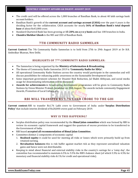- The credit card will be offered across the 1,000 branches of Bandhan Bank, to about 40 lakh savings bank account holders.
- Bandhan Bank's growth of the **current account and savings account (CASA)** over the past 4 years is the deciding factor for the collaboration. CASA accounts for nearly **36% of Bandhan Bank's total deposit base** of about Rs43,000 crore.
- Standard Chartered Bank has been growing at **15-20% on a y-o-y basis** and has 100 branches in India.
- <span id="page-45-0"></span>**Chandra Shekhar Ghosh** is the MD and CEO of Bandhan Bank.

# **7TH COMMUNITY RADIO SAMMELAN**

**Current Context:** The 7th Community Radio Sammelan is to held from 27th to 29th August 2019 at Dr B.R. Ambedkar Bhawan, New Delhi.

## **HIGHLIGHTS OF 7TH COMMUNITY RADIO SAMMELAN:**

- The Sammelan is being organized by the **Ministry of Information & Broadcasting.**
- The theme of Community Radio Sammelan 2019 is **'Community Radio for SDGs'.**
- All operational Community Radio Stations across the country would participate in the sammelan and will discuss possibilities for enhancing public awareness on the Sustainable Development Goals.
- Some important government schemes for Disaster Risk Reduction, Jal Shakti Abhiyaan, and social media usage for disseminating information will be discussed.
- <span id="page-45-1"></span>**Awards for achievements** in broadcasting development programmes will be given to Community Radio Stations by Union Minister Prakash Javadekar on 28th August. The awards include community Engagement Awards, Promotion of Local Culture, etc.

# **RBI WILL TRANSFER RS 1.76 LAKH CRORE TO THE GOI**

**Current context:** RBI to transfer Rs1.76 Lakh crore to Government of India under **'Surplus Distribution Policy'** that include interim dividend of Rs28,000 crores paid on February 2019.

## **WHY IS THIS HAPPENING?**

- Surplus distribution policy was recommended by the **Bimal Jalan committee** which was formed by RBI to review its economic capital framework and suggest the quantum of excess provision to be transferred to the Government of India.
- RBI board **accepted all recommendation of Bimal Jalan Committee.**
- Committee distinct 2 components of economic capital
	- 1. **Realised equity:** it could be used for meeting all risks or losses which were primarily build up from retained earning.
	- 2. **Revaluation balances:** this is risk buffer against market risk as they represent unrealised valuation gains and hence were not distributable.
- Keeping in mind about financial and external stability risks in the country's savings for a 'rainy day', the committee has recommended to maintain 6.5% to 5.5% the RBI's balance sheet (of which 5.5% to 4.5% for monetary and financial stability risks & 1% for credit and operational risks).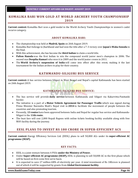## <span id="page-46-0"></span>**KOMALIKA BARI WON GOLD AT WORLD ARCHERY YOUTH CHAMPIONSHIP 2019**

**Current context:** Komalika Bari won a gold medal in the World Archery Youth Championships in women's cadet recurve category.

## **ABOUT KOMALIKA BARI:**

- The championship was held at **Madrid, Spain** on 26th August 2019.
- Komalika Bari belongs to Jharkhand and had won the title after a 7-3 victory over **Japan's Waka Sonoda** in the final.
- With this achievement, she has become the **third Indian** to claim a world title.
- **Palton Hansda** was the first Indian to win the compound world junior men's champion in 2006. The second was **Deepika Kumari** who won it in 2009 and the world junior crown in 2011.
- <span id="page-46-1"></span> The **World Archery's suspension of India** will come into effect after this event, making it the last tournament for the Indian archers to play for their country.

## **KATHMANDU-SILIGURI BUS SERVICE**

**Current context:** A bus service between Siliguri in West Bengal and Nepal's capital Kathmandu has been started on 26th August 2019.

## **KATHMANDU-SILIGURI BUS SERVICE:**

- The bus service will provide **daily service** between Kathmandu and Siliguri via Kakarvitta-Panitanki border.
- The initiative is a part of a **Motor Vehicle Agreement for Passenger Traffic** which was signed during Prime Minister Narendra Modi's Nepal visit in **2014** to facilitate the movement of people between the countries and also promoting tourism.
- Presently, **13 routes** have been approved between India and Nepal for regular bus service and Kathmandu-Siliguri is the **11th route.**
- <span id="page-46-2"></span> The bust fare will cost 2,000 Nepali Rupees with online tickets booking facility available along with free WiFi facility during the journey.

## **EESL PLANS TO INVEST RS 180 CRORE IN SUPER-EFFICIENT ACS**

**Current context:** Energy Efficiency Services Ltd. (EESL) plans to sell 50,000 ACs under its **super-efficient AC programme (SEAP).**

#### **KEY FACTS:**

- EESL is a joint venture between 4 PSUs **under the Ministry of Power.**
- Under **Super-efficient AC programme (SEAP),** EESL is planning to sell 50,000 AC in the first phase which will be based on first come first serve basis.
- It is expected to save 27 million kWh of electricity per year. A total investment of Rs 180crore is planned out of which it will be supported by grants from **Global Environment facility.**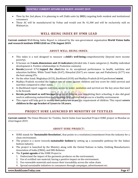- Then by the 2nd phase, it is planning to sell 2lakh units by **2021,** targeting both resident and institutional consumers.
- <span id="page-47-0"></span> These AC will be manufactured by Voltas and would cost Rs 41,300 and will be exclusively sold on Walmart.in.

# **WELL-BEING INDEX BY IFMR LEAD**

**Current context:** Well-Being Index Report is released by the non-government organisation **World Vision India and research institute IFMR LEAD on 27th August 2019.**

## **ABOUT WELL-BEING INDEX:**

- This index is a tool designed to measure a **child's well-being** comprehensively (beyond mere income poverty).
- It focuses on **3 main dimensions and 24 indicators** (divided into 3 main categories (i. Healthy individual development ii. Positive relationships iii. Protective contexts).
- **Kerala** (scored 0.76) **topped the chart** due to its exceptional performance in health, nutrition and education facilities. While Tamil Nadu (0.67), Himachal (0.67) are runner ups and Puducherry (0.77) was the best among UTs.
- On the other hand, Meghalaya (0.53), Jharkhand (0.50) and Madhya Pradesh (0.44) performed **worst.**
- Madhya Pradesh recorded the highest rate of crime against children and low score for child survival and nutrition compared to other states.
- In Jharkhand report suggests nutrition, access to water, sanitation and survival are the key areas that need to be focused.
- **Kerala performed so well because** large no of children was completing their schooling, it also did good work in addressing malnutrition and ensuring child survival and access to a healthy environment.
- <span id="page-47-1"></span> This report will help govt to modify their policy too as per the requirement of children. This report **covers children in the age bracket of 1years to 18 years.**

# **PROJECT SURE LAUNCHED BY MINISTRY OF TEXTILES**

**Current context:** The Union Minister for Textiles, Smriti Zubin Irani launched Project SURE project in Mumbai on 22nd August 2019.

## **ABOUT SURE PROJECT:**

- SURE stands for **'Sustainable Resolution',** that points to a resolution/commitment from the industry for a clean environment.
- The project is a move towards **sustainable fashion** by setting up a sustainable pathway for the Indian fashion industry.
- The project is launched by the Ministry along with the United Nations in India, Clothing Manufacturers Association of India (CMAI), and IMG Reliance.
- The **5 point agenda** of the SURE Project is:
	- 1. Understand the impact of the garments produces on the environment.
	- 2. Use of certified raw material, having a positive impact on the environment.
	- 3. Use renewable materials and ensure their traceability across the value chain.
	- 4. Spread sustainable initiatives to consumers through campaigns, advertisement etc.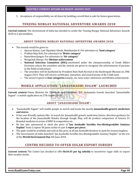<span id="page-48-0"></span>5. Acceptance of responsibility we all share by building a world that is safe for future generations.

## **TENZING NORGAY NATIONAL ADVENTURE AWARDS 2018**

**Current context:** The Government of India has decided to confer the Tenzing Norgay National Adventure Awards 2018 to 6 personalities.

## **ABOUT TENZING NORGAY NATIONAL ADVENTURE AWARDS 2018:**

- The awards would be given to:
	- o Aparna Kumar, Late Dipankar Ghosh, Manikandan K: For adventure in **'land category'**
	- o Prabhat Raju Koli: For adventure in **'Water category'**
	- o RameshwerJangra: For adventure in **'Air category'**
	- o Wangchuk Sherpa: For **lifetime achievement**
	- o **National Selection Committee (NSC)** constituted under the chairpersonship of Youth Affairs Secretary selects the awardees and the awards are given to recognize the achievements of persons in the fields of adventure.
	- o The awardees will be facilitated by President Ram Nath Kovind at the Rashtrapati Bhawan on 29th August 2019. They will receive certificates, statuettes, and award money of Rs 5 lakh each.
	- o The award is given in **four categories** namely, air, land, water adventure and lifetime achievement.

# **MOBILE APPLICATION-"JANAUSHADHI SUGAM" LAUNCHED**

<span id="page-48-1"></span>**Current context:** Union Minister for Chemicals and Fertilizers, D.V. Sadananda Gowda launched "Janaushadhi Sugam"- a mobile application on 27th August 2019.

## **ABOUT "JANAUSHADHI SUGAM":**

- "Janaushadhi Sugam" will enable people to search and locate the nearby **Janaushadhi generic medicines and stores.**
- It has user-friendly options like- to search for Janaushadhi generic medicines/stores, direction guidance for the location of the Janaushadhi Kendra through Google Map, will do product comparison of Generic Vs Branded medicine in terms of MRP & composition etc.
- He has also announced to slash the price of **"Jan Aushadhi Suvidha Oxo-Biodegradable Sanitary Napkin"** from 2 rupees 50 paise earlier to just **1 rupee per piece.**
- The pads would be available and sold at this price at all Jan Aushadhi Kendras to push for women hygiene.
- <span id="page-48-2"></span> The Government of India launched "Jan Aushadhi Suvidha Oxo-Biodegradable Sanitary Napkin" on the eve of the **World Environment Day** 4th June 2018.

# **CENTRE DECIDED TO OFFER SUGAR EXPORT SUBSIDY**

**Current context:** The Centre has decided to offer **Rs10.45 per kg subsidy** to incentivise sugar mills to export their surplus stocks.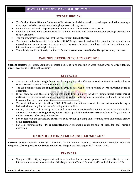## **EXPORT SUBSIDY:**

- The **Cabinet Committee on Economic Affairs** took the decision, as with record sugar production causing a drop in prices led to cane farmers facing huge arrears in payment.
- Even mills are left with a **liquidity crisis** due to surplus stocks and crashing prices.
- Export of up to **60 lakh tonnes in 2019-20** would be facilitated under the subsidy package provided by the government.
- The export subsidy package will cost the government **Rs 6,268 crore.**
- The **export subsidy** was in conformity with **WTO agreements** and will be provided for expenses on upgrading and other processing costs, marketing costs including handling, costs of international and internal transport and freight charges.
- <span id="page-49-0"></span>The subsidy would be directly credited to **farmers' account on behalf of mills** against cane price dues.

# **CABINET DECISION TO ATTRACT FDI**

**Current context:** The Union Cabinet took major decisions in its meeting on 28th August 2019 to attract foreign direct investment (FDI) into the country.

## **KEY FACTS:**

- The current policy for a single-brand retail company says that if it has more than 51% FDI needs, it has to source 30% of its goods from within India.
- The cabinet has relaxed the **requirement of 30%** by allowing it to be calculated over the first **five years** of operation.
- It has been decided that all procurements made from India by the **SBRT (single-brand retail trade) entities,** irrespective of whether the goods procured are sold in India or exported, that single brand shall be counted towards **local sourcing.**
- The cabinet has decided to **allow 100% FDI** under the automatic route in **contract manufacturing** in India which was only for the manufacturing sector earlier.
- Earlier, the SBRT had to set up a brick and mortar store before selling online but now the Cabinet has approved them **start selling online,** before setting up a **brick and mortar store** as long as they set one up within two years of starting online sales.
- For print media, the cabinet has **permitted 26% FDI** for uploading and streaming news and current affairs using **digital media.**
- <span id="page-49-1"></span> For coal mining, **100% FDI is permitted** under automatic route for **sale of coal, for coal mining activities.**

# **UNION HRD MINISTER LAUNCHED 'SHAGUN'**

**Current context:** Ramesh Pokhriyal 'Nishank', Union Human Resource Development Minister launched Integrated **Online Junction for School Education 'Shagun'** on 28th August 2019 in New Delhi.

#### **KEY FACTS:**

 'Shagun' (URL: http://shagun.govt.in/) is a junction for all **online portals and websites** to provide information about various activities of the Department of School Education, GOI and all States and UTs.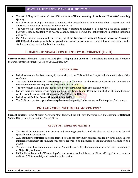- The word Shagun is made of two different words- **'Shala' meaning Schools and 'Gunvatta' meaning Quality.**
- It will serve as a single platform to enhance the accessibility of information about schools and will approach towards transforming the education sector.
- The website also provides additional information relating to navigable distance vis-a-vis aerial distance between schools, availability of nearby schools, thereby helping the policymakers in making informed decisions.
- <span id="page-50-0"></span> Mr Pokhriyal also announced the setting up of **the Integrated National School Education Treasury (INSET),** which envisages a fully integrated information network for all-round information relating to the students, teachers, and schools in the country.

# **BIOMETRIC SEAFARERS IDENTITY DOCUMENT (BSID)**

**Current context:** Mansukh Mandaviya, MoS (I/C) Shipping and Chemical & Fertilizers launched the Biometric Seafarer Identity Document (BSID) on 28th August 2019.

## **ABOUT BSID:**

- India has become the **first country** in the world to issue BSID, which will capture the biometric data of the seafarers.
- The new **facial biometric technology** BSID is an addition to the security features and marked an improvement over two-finger or *iris*-based bio-metric data.
- The new feature will make the identification of the SID holder more efficient and reliable.
- Earlier, India has made a presentation on the International Labour Organisation (ILO) on BSID and the new card is in confirmation of the **Convention No. 185 of the ILO.**
- India has **ratified the Convention in October 2015.**
- <span id="page-50-1"></span>The BSID card has **two optical security features** Unique Guilloche pattern and Micro prints/micro texts.

# **PM LAUNCHED "FIT INDIA MOVEMENT"**

**Current context:** Prime Minister Narendra Modi launched the Fit India Movement on the occasion of **National Sports Day** in New Delhi on 29th August 2019.

## **ABOUT FIT INDIA MOVEMENT:**

- The **aim** of the movement is to inspire and encourage people to include physical activity, exercise and sports in their everyday life.
- A **28 member committee** has been formed to take the movement forward, headed by Kiren Rijiju, Sports Minister, government officials, national sports federation and members of Indian Olympic Association and others.
- The movement has been launched on the National Sports Day that commemorates the birth anniversary of **Major Dhyan Chand.**
- PM Modi also launched a **"Fitness logo"** at the occasion and will launch a **"Fitness Pledge"** for everyone to walk at 10,000 steps daily and make it a daily routine.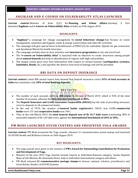# **ANGIKAAR AND E-COURSE ON VULNERABILITY ATLAS LAUNCHED**

<span id="page-51-0"></span>**Current context:** Minister of State (I/C) for **Housing and Urban Affairs,** Hardeep S Puri launched **Angikaar** and **e-Course on Vulnerability Atlas** of India on 29th August 2019.

## **HIGHLIGHTS:**

- **"Angikaar"** a campaign for change management for **social behaviour change** that focuses on waste management, sanitation and hygiene, water & energy conservation and other IEC activities.
- The campaign will give special focus to beneficiaries of PMAY (U) for sanitation, Ujjwala for gas connection and Ayushman Bharat for health insurance.
- The campaign includes door to door activities and **awareness programmes** at city and ward level.
- The **"e-course on Vulnerability Atlas"** is launched with an objective to create awareness among people about **natural hazards** and help in identification of regions with high vulnerability.
- <span id="page-51-1"></span> The unique course gives area wise information with respect to various hazards (**earthquakes, cyclones, landslides, floods,** etc.) and specifies the district-wise level of damage risk will be provided.

# **RBI DATA ON DEPOSIT INSURANCE**

**Current context:** Latest RBI annual report data showed that Deposit insurance covers **92% of total accounts in India** but constitutes only **28% of total banking deposits.**

## **KEY FACTS:**

- The number of such accounts stood at **200 crores** at the end of March 2019, which is 92% of the total number of accounts, whereas the **international benchmark is 80%.**
- The **Deposit Insurance and Credit Guarantee Corporation (DICGC)** has the task of providing insurance cover to deposits in all commercial banks.
- At the end of FY19, the number of **insured banks registered** in DICGC was 2,098, **commercial banks** were 157 and **cooperative banks** was 1941.
- Thus at the end-March 2019, the **total insured deposit was of Rs 33.7 lakh crore** constituting 28% of assessable deposits of Rs 120 lakh crore, against the **international benchmark of 20% to 30%.**

# <span id="page-51-2"></span>**PM MODI LAUNCHED AYUSH CENTRES AND PRESENTED YOGA AWARDS**

**Current context:** PM Modi presented the Yoga awards, released 12 commemorative postal stamps and launched 10 AYUSH Health and Wellness Centres on 30th August 2019.

- The yoga awards were given to the winners of **PM's Award for Outstanding Contribution for Promotion and Development of Yoga.**
- Winners of the year 2019 Yoga Awards include Gujarat in Individual-National category, Swami Rajarshi Muni of Life Mission, Ms Antonietta Rozzi, Italy in Individual-International category and others.
- PM Modi released **12 commemorative postage stamps** to honour eminent scholars, practitioners and Great Master Healers of AYUSH Systems.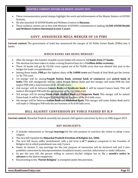- These commemorative postal stamps highlight the work and achievements of the Master Healers of AYUSH Systems.
- He also launched 10 AYUSH Health and Wellness Centres in **Haryana.**
- <span id="page-52-0"></span> These wellness centres are in line with Ministry of AYUSH's commitment to making **12,500 AYUSH Health and Wellness Centres functional in next 3 years.**

# **GOVT. ANNOUNCED MEGA MERGER OF 10 PSBS**

**Current context:** The government of India has announced the merger of 10 Public Sector Banks (PSBs) into 4 banks.

## **WHICH BANKS ARE BEING MERGED?**

- After the merger, the number of public sector banks will crease to **12 banks from 27 banks.**
- The decision has been taken to make a strong financial base for a **5 trillion dollar economy.**
- These 10 banks will get Rs 55,250 crore capital out of Rs 70,000 crore that was allotted this year in the budget for bank's recapitalisation.
- Among these banks, **PNB** got the highest share of **Rs 16000 crore** and Punjab & Sind Bank got the lowest i.e. Rs 750 crore.
- 1st merger will be among **Punjab Nation Bank**, **oriental bank of commerce** and **united bank of India.** This will amalgamate will be called Punjab Nation Bank and this merger will make PNB the 2nd largest PSB with a total business of Rs 18 lakh crore.
- 2nd merger will be between **Canara Bank** and **Syndicate bank**. It will be named Canara bank. This will make it 4th largest PSB with the net business of Rs 15.2 lakh crore.
- 3rd merger will be among **Union Bank**, **Andhra Bank** and **Corporate Bank**. This merger will be named Union bank. It will be 5th largest PSB with the net business of Rs 14.6 lakh crore.
- <span id="page-52-1"></span> 4th merger will be between **Indian Bank** and **Allahabad Bank.** This merger will name Indian Bank and it will make it 7thlargest PSB with the net business of Rs 8.08 lakh crore.

# **BILL AGAINST CONVERSION BY FORCE PASSED BY H.P**

**Current context:** Himachal Pradesh assembly has passed a bill against conversion by force on 30th August 2019.

- It includes inducement or through **marriage** for the sole purpose to convince the victim to adopt a new religion.
- The new bill repealed the **Himachal Pradesh Freedom of Religion Act, 2006.**
- The new bill incurs stiffer punishments with a jail term is **of 7 years** as compared to the Freedom of Religion Act in which punishment was only 3 years.
- Under its Section 5, any marriage for the sole purpose of conversion will be declared null and it also prohibits conversion by misrepresentation, fraudulent means, coercion, inducement or under influence.
- As per the new bill, the person willing to convert his/her religion has to file a **month's notice in advance** to the district magistrate.
- Reconverting to the "**Parent Religion**" is exempted under this provision.